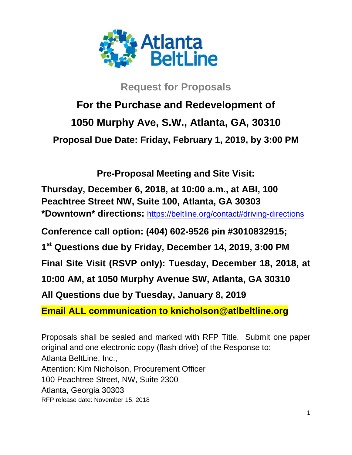

## **Request for Proposals**

# **For the Purchase and Redevelopment of 1050 Murphy Ave, S.W., Atlanta, GA, 30310 Proposal Due Date: Friday, February 1, 2019, by 3:00 PM**

**Pre-Proposal Meeting and Site Visit:**

**Thursday, December 6, 2018, at 10:00 a.m., at ABI, 100 Peachtree Street NW, Suite 100, Atlanta, GA 30303 \*Downtown\* directions:** <https://beltline.org/contact#driving-directions>

**Conference call option: (404) 602-9526 pin #3010832915;**

**1st Questions due by Friday, December 14, 2019, 3:00 PM**

**Final Site Visit (RSVP only): Tuesday, December 18, 2018, at** 

**10:00 AM, at 1050 Murphy Avenue SW, Atlanta, GA 30310**

**All Questions due by Tuesday, January 8, 2019**

**Email ALL communication to knicholson@atlbeltline.org**

Proposals shall be sealed and marked with RFP Title. Submit one paper original and one electronic copy (flash drive) of the Response to: Atlanta BeltLine, Inc., Attention: Kim Nicholson, Procurement Officer 100 Peachtree Street, NW, Suite 2300 Atlanta, Georgia 30303 RFP release date: November 15, 2018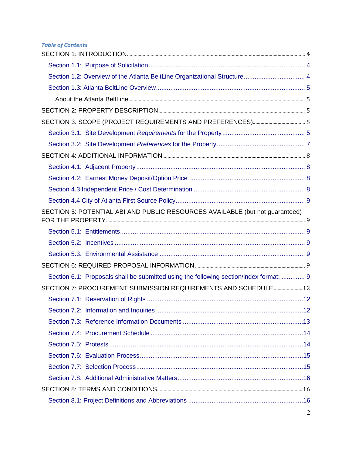### *Table of Contents*

| Section 1.2: Overview of the Atlanta BeltLine Organizational Structure 4               |  |
|----------------------------------------------------------------------------------------|--|
|                                                                                        |  |
|                                                                                        |  |
|                                                                                        |  |
|                                                                                        |  |
|                                                                                        |  |
|                                                                                        |  |
|                                                                                        |  |
|                                                                                        |  |
|                                                                                        |  |
|                                                                                        |  |
|                                                                                        |  |
| SECTION 5: POTENTIAL ABI AND PUBLIC RESOURCES AVAILABLE (but not guaranteed)           |  |
|                                                                                        |  |
|                                                                                        |  |
|                                                                                        |  |
|                                                                                        |  |
| Section 6.1: Proposals shall be submitted using the following section/index format:  9 |  |
| SECTION 7: PROCUREMENT SUBMISSION REQUIREMENTS AND SCHEDULE 12                         |  |
|                                                                                        |  |
|                                                                                        |  |
|                                                                                        |  |
|                                                                                        |  |
|                                                                                        |  |
|                                                                                        |  |
|                                                                                        |  |
|                                                                                        |  |
|                                                                                        |  |
|                                                                                        |  |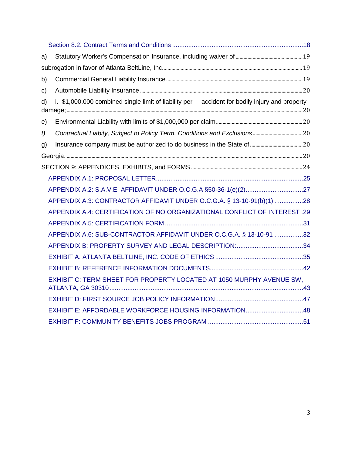| a) |                                                                                               |  |
|----|-----------------------------------------------------------------------------------------------|--|
|    |                                                                                               |  |
| b) |                                                                                               |  |
| C) |                                                                                               |  |
| d) | i. \$1,000,000 combined single limit of liability per accident for bodily injury and property |  |
| e) |                                                                                               |  |
| f  |                                                                                               |  |
| g) |                                                                                               |  |
|    |                                                                                               |  |
|    |                                                                                               |  |
|    |                                                                                               |  |
|    |                                                                                               |  |
|    | APPENDIX A.3: CONTRACTOR AFFIDAVIT UNDER O.C.G.A. § 13-10-91(b)(1) 28                         |  |
|    | APPENDIX A.4: CERTIFICATION OF NO ORGANIZATIONAL CONFLICT OF INTEREST .29                     |  |
|    |                                                                                               |  |
|    | APPENDIX A.6: SUB-CONTRACTOR AFFIDAVIT UNDER O.C.G.A. § 13-10-91 32                           |  |
|    | APPENDIX B: PROPERTY SURVEY AND LEGAL DESCRIPTION: 34                                         |  |
|    |                                                                                               |  |
|    |                                                                                               |  |
|    | EXHIBIT C: TERM SHEET FOR PROPERTY LOCATED AT 1050 MURPHY AVENUE SW,                          |  |
|    |                                                                                               |  |
|    | EXHIBIT E: AFFORDABLE WORKFORCE HOUSING INFORMATION48                                         |  |
|    |                                                                                               |  |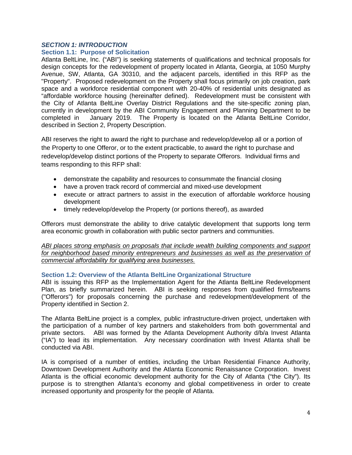### <span id="page-3-0"></span>*SECTION 1: INTRODUCTION*

### <span id="page-3-1"></span>**Section 1.1: Purpose of Solicitation**

Atlanta BeltLine, Inc. ("ABI") is seeking statements of qualifications and technical proposals for design concepts for the redevelopment of property located in Atlanta, Georgia, at 1050 Murphy Avenue, SW, Atlanta, GA 30310, and the adjacent parcels, identified in this RFP as the "Property". Proposed redevelopment on the Property shall focus primarily on job creation, park space and a workforce residential component with 20-40% of residential units designated as "affordable workforce housing (hereinafter defined). Redevelopment must be consistent with the City of Atlanta BeltLine Overlay District Regulations and the site-specific zoning plan, currently in development by the ABI Community Engagement and Planning Department to be completed in January 2019. The Property is located on the Atlanta BeltLine Corridor. January 2019. The Property is located on the Atlanta BeltLine Corridor, described in Section 2, Property Description.

ABI reserves the right to award the right to purchase and redevelop/develop all or a portion of the Property to one Offeror, or to the extent practicable, to award the right to purchase and redevelop/develop distinct portions of the Property to separate Offerors. Individual firms and teams responding to this RFP shall:

- demonstrate the capability and resources to consummate the financial closing
- have a proven track record of commercial and mixed-use development
- execute or attract partners to assist in the execution of affordable workforce housing development
- timely redevelop/develop the Property (or portions thereof), as awarded

Offerors must demonstrate the ability to drive catalytic development that supports long term area economic growth in collaboration with public sector partners and communities.

### *ABI places strong emphasis on proposals that include wealth building components and support*  for neighborhood based minority entrepreneurs and businesses as well as the preservation of *commercial affordability for qualifying area businesses.*

### <span id="page-3-2"></span>**Section 1.2: Overview of the Atlanta BeltLine Organizational Structure**

ABI is issuing this RFP as the Implementation Agent for the Atlanta BeltLine Redevelopment Plan, as briefly summarized herein. ABI is seeking responses from qualified firms/teams ("Offerors") for proposals concerning the purchase and redevelopment/development of the Property identified in Section 2.

The Atlanta BeltLine project is a complex, public infrastructure-driven project, undertaken with the participation of a number of key partners and stakeholders from both governmental and private sectors. ABI was formed by the Atlanta Development Authority d/b/a Invest Atlanta ("IA") to lead its implementation. Any necessary coordination with Invest Atlanta shall be conducted via ABI.

IA is comprised of a number of entities, including the Urban Residential Finance Authority, Downtown Development Authority and the Atlanta Economic Renaissance Corporation. Invest Atlanta is the official economic development authority for the City of Atlanta ("the City"). Its purpose is to strengthen Atlanta's economy and global competitiveness in order to create increased opportunity and prosperity for the people of Atlanta.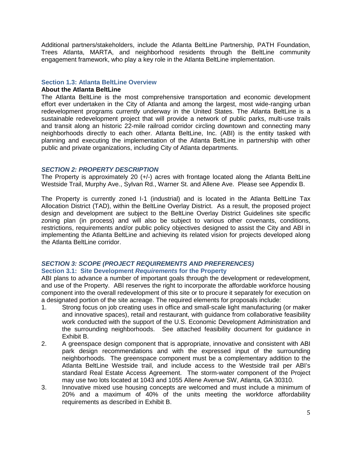Additional partners/stakeholders, include the Atlanta BeltLine Partnership, PATH Foundation, Trees Atlanta, MARTA, and neighborhood residents through the BeltLine community engagement framework, who play a key role in the Atlanta BeltLine implementation.

### <span id="page-4-0"></span>**Section 1.3: Atlanta BeltLine Overview**

### <span id="page-4-1"></span>**About the Atlanta BeltLine**

The Atlanta BeltLine is the most comprehensive transportation and economic development effort ever undertaken in the City of Atlanta and among the largest, most wide-ranging urban redevelopment programs currently underway in the United States. The Atlanta BeltLine is a sustainable redevelopment project that will provide a network of public parks, multi-use trails and transit along an historic 22-mile railroad corridor circling downtown and connecting many neighborhoods directly to each other. Atlanta BeltLine, Inc. (ABI) is the entity tasked with planning and executing the implementation of the Atlanta BeltLine in partnership with other public and private organizations, including City of Atlanta departments.

### <span id="page-4-2"></span>*SECTION 2: PROPERTY DESCRIPTION*

The Property is approximately 20 (+/-) acres with frontage located along the Atlanta BeltLine Westside Trail, Murphy Ave., Sylvan Rd., Warner St. and Allene Ave. Please see Appendix B.

The Property is currently zoned I-1 (industrial) and is located in the Atlanta BeltLine Tax Allocation District (TAD), within the BeltLine Overlay District. As a result, the proposed project design and development are subject to the BeltLine Overlay District Guidelines site specific zoning plan (in process) and will also be subject to various other covenants, conditions, restrictions, requirements and/or public policy objectives designed to assist the City and ABI in implementing the Atlanta BeltLine and achieving its related vision for projects developed along the Atlanta BeltLine corridor.

### <span id="page-4-4"></span><span id="page-4-3"></span>*SECTION 3: SCOPE (PROJECT REQUIREMENTS AND PREFERENCES)* **Section 3.1: Site Development** *Requirements* **for the Property**

ABI plans to advance a number of important goals through the development or redevelopment, and use of the Property. ABI reserves the right to incorporate the affordable workforce housing component into the overall redevelopment of this site or to procure it separately for execution on a designated portion of the site acreage. The required elements for proposals include:

- 1. Strong focus on job creating uses in office and small-scale light manufacturing (or maker and innovative spaces), retail and restaurant, with guidance from collaborative feasibility work conducted with the support of the U.S. Economic Development Administration and the surrounding neighborhoods. See attached feasibility document for guidance in Exhibit B.
- 2. A greenspace design component that is appropriate, innovative and consistent with ABI park design recommendations and with the expressed input of the surrounding neighborhoods. The greenspace component must be a complementary addition to the Atlanta BeltLine Westside trail, and include access to the Westside trail per ABI's standard Real Estate Access Agreement. The storm-water component of the Project may use two lots located at 1043 and 1055 Allene Avenue SW, Atlanta, GA 30310.
- 3. Innovative mixed use housing concepts are welcomed and must include a minimum of 20% and a maximum of 40% of the units meeting the workforce affordability requirements as described in Exhibit B.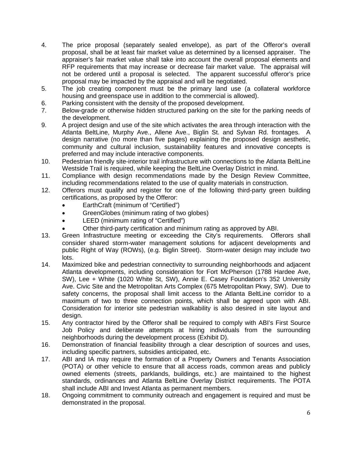- 4. The price proposal (separately sealed envelope), as part of the Offeror's overall proposal, shall be at least fair market value as determined by a licensed appraiser. The appraiser's fair market value shall take into account the overall proposal elements and RFP requirements that may increase or decrease fair market value. The appraisal will not be ordered until a proposal is selected. The apparent successful offeror's price proposal may be impacted by the appraisal and will be negotiated.
- 5. The job creating component must be the primary land use (a collateral workforce housing and greenspace use in addition to the commercial is allowed).
- 6. Parking consistent with the density of the proposed development.<br>7. Below-grade or otherwise hidden structured parking on the site fo
- Below-grade or otherwise hidden structured parking on the site for the parking needs of the development.
- 9. A project design and use of the site which activates the area through interaction with the Atlanta BeltLine, Murphy Ave., Allene Ave., Biglin St. and Sylvan Rd. frontages. A design narrative (no more than five pages) explaining the proposed design aesthetic, community and cultural inclusion, sustainability features and innovative concepts is preferred and may include interactive components.
- 10. Pedestrian friendly site-interior trail infrastructure with connections to the Atlanta BeltLine Westside Trail is required, while keeping the BeltLine Overlay District in mind.
- 11. Compliance with design recommendations made by the Design Review Committee, including recommendations related to the use of quality materials in construction.
- 12. Offerors must qualify and register for one of the following third-party green building certifications, as proposed by the Offeror:
	- EarthCraft (minimum of "Certified")
	- GreenGlobes (minimum rating of two globes)
	- LEED (minimum rating of "Certified")
	- Other third-party certification and minimum rating as approved by ABI.
- 13. Green Infrastructure meeting or exceeding the City's requirements. Offerors shall consider shared storm-water management solutions for adjacent developments and public Right of Way (ROWs), (e.g. Biglin Street). Storm-water design may include two lots.
- 14. Maximized bike and pedestrian connectivity to surrounding neighborhoods and adjacent Atlanta developments, including consideration for Fort McPherson (1788 Hardee Ave, SW), Lee + White (1020 White St, SW), Annie E. Casey Foundation's 352 University Ave. Civic Site and the Metropolitan Arts Complex (675 Metropolitan Pkwy, SW). Due to safety concerns, the proposal shall limit access to the Atlanta BeltLine corridor to a maximum of two to three connection points, which shall be agreed upon with ABI. Consideration for interior site pedestrian walkability is also desired in site layout and design.
- 15. Any contractor hired by the Offeror shall be required to comply with ABI's First Source Job Policy and deliberate attempts at hiring individuals from the surrounding neighborhoods during the development process (Exhibit D).
- 16. Demonstration of financial feasibility through a clear description of sources and uses, including specific partners, subsidies anticipated, etc.
- 17. ABI and IA may require the formation of a Property Owners and Tenants Association (POTA) or other vehicle to ensure that all access roads, common areas and publicly owned elements (streets, parklands, buildings, etc.) are maintained to the highest standards, ordinances and Atlanta BeltLine Overlay District requirements. The POTA shall include ABI and Invest Atlanta as permanent members.
- 18. Ongoing commitment to community outreach and engagement is required and must be demonstrated in the proposal.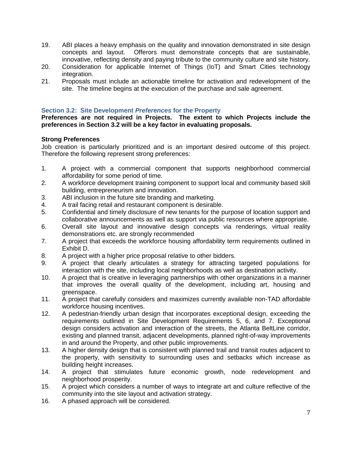- 19. ABI places a heavy emphasis on the quality and innovation demonstrated in site design concepts and layout. Offerors must demonstrate concepts that are sustainable, innovative, reflecting density and paying tribute to the community culture and site history.
- 20. Consideration for applicable Internet of Things (IoT) and Smart Cities technology integration.
- 21. Proposals must include an actionable timeline for activation and redevelopment of the site. The timeline begins at the execution of the purchase and sale agreement.

### <span id="page-6-0"></span>**Section 3.2: Site Development** *Preferences* **for the Property**

**Preferences are not required in Projects. The extent to which Projects include the preferences in Section 3.2 will be a key factor in evaluating proposals.** 

### **Strong Preferences**

Job creation is particularly prioritized and is an important desired outcome of this project. Therefore the following represent strong preferences:

- 1. A project with a commercial component that supports neighborhood commercial affordability for some period of time.
- 2. A workforce development training component to support local and community based skill building, entrepreneurism and innovation.
- 3. ABI inclusion in the future site branding and marketing.
- 4. A trail facing retail and restaurant component is desirable.<br>5. Confidential and timely disclosure of new tenants for the p
- 5. Confidential and timely disclosure of new tenants for the purpose of location support and collaborative announcements as well as support via public resources where appropriate.
- 6. Overall site layout and innovative design concepts via renderings, virtual reality demonstrations etc. are strongly recommended
- 7. A project that exceeds the workforce housing affordability term requirements outlined in Exhibit D.
- 8. A project with a higher price proposal relative to other bidders.<br>9. A project that clearly articulates a strategy for attracting
- 9. A project that clearly articulates a strategy for attracting targeted populations for interaction with the site, including local neighborhoods as well as destination activity.
- 10. A project that is creative in leveraging partnerships with other organizations in a manner that improves the overall quality of the development, including art, housing and greenspace.
- 11. A project that carefully considers and maximizes currently available non-TAD affordable workforce housing incentives.
- 12. A pedestrian-friendly urban design that incorporates exceptional design, exceeding the requirements outlined in Site Development Requirements 5, 6, and 7. Exceptional design considers activation and interaction of the streets, the Atlanta BeltLine corridor, existing and planned transit, adjacent developments, planned right-of-way improvements in and around the Property, and other public improvements.
- 13. A higher density design that is consistent with planned trail and transit routes adjacent to the property, with sensitivity to surrounding uses and setbacks which increase as building height increases.
- 14. A project that stimulates future economic growth, node redevelopment and neighborhood prosperity.
- 15. A project which considers a number of ways to integrate art and culture reflective of the community into the site layout and activation strategy.
- 16. A phased approach will be considered.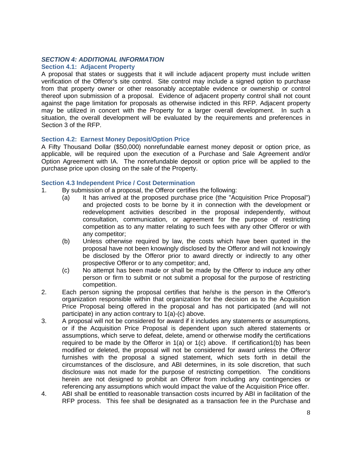### <span id="page-7-0"></span>*SECTION 4: ADDITIONAL INFORMATION*

### <span id="page-7-1"></span>**Section 4.1: Adjacent Property**

A proposal that states or suggests that it will include adjacent property must include written verification of the Offeror's site control. Site control may include a signed option to purchase from that property owner or other reasonably acceptable evidence or ownership or control thereof upon submission of a proposal. Evidence of adjacent property control shall not count against the page limitation for proposals as otherwise indicted in this RFP. Adjacent property may be utilized in concert with the Property for a larger overall development. In such a situation, the overall development will be evaluated by the requirements and preferences in Section 3 of the RFP.

### <span id="page-7-2"></span>**Section 4.2: Earnest Money Deposit/Option Price**

A Fifty Thousand Dollar (\$50,000) nonrefundable earnest money deposit or option price, as applicable, will be required upon the execution of a Purchase and Sale Agreement and/or Option Agreement with IA. The nonrefundable deposit or option price will be applied to the purchase price upon closing on the sale of the Property.

### <span id="page-7-3"></span>**Section 4.3 Independent Price / Cost Determination**

- 1. By submission of a proposal, the Offeror certifies the following:
	- (a) It has arrived at the proposed purchase price (the "Acquisition Price Proposal") and projected costs to be borne by it in connection with the development or redevelopment activities described in the proposal independently, without consultation, communication, or agreement for the purpose of restricting competition as to any matter relating to such fees with any other Offeror or with any competitor;
	- (b) Unless otherwise required by law, the costs which have been quoted in the proposal have not been knowingly disclosed by the Offeror and will not knowingly be disclosed by the Offeror prior to award directly or indirectly to any other prospective Offeror or to any competitor; and,
	- (c) No attempt has been made or shall be made by the Offeror to induce any other person or firm to submit or not submit a proposal for the purpose of restricting competition.
- 2. Each person signing the proposal certifies that he/she is the person in the Offeror's organization responsible within that organization for the decision as to the Acquisition Price Proposal being offered in the proposal and has not participated (and will not participate) in any action contrary to 1(a)-(c) above.
- 3. A proposal will not be considered for award if it includes any statements or assumptions, or if the Acquisition Price Proposal is dependent upon such altered statements or assumptions, which serve to defeat, delete, amend or otherwise modify the certifications required to be made by the Offeror in  $1(a)$  or  $1(c)$  above. If certification  $1(b)$  has been modified or deleted, the proposal will not be considered for award unless the Offeror furnishes with the proposal a signed statement, which sets forth in detail the circumstances of the disclosure, and ABI determines, in its sole discretion, that such disclosure was not made for the purpose of restricting competition. The conditions herein are not designed to prohibit an Offeror from including any contingencies or referencing any assumptions which would impact the value of the Acquisition Price offer.
- 4. ABI shall be entitled to reasonable transaction costs incurred by ABI in facilitation of the RFP process. This fee shall be designated as a transaction fee in the Purchase and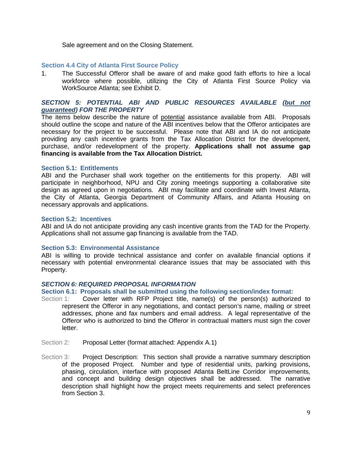Sale agreement and on the Closing Statement.

### <span id="page-8-0"></span>**Section 4.4 City of Atlanta First Source Policy**

1. The Successful Offeror shall be aware of and make good faith efforts to hire a local workforce where possible, utilizing the City of Atlanta First Source Policy via WorkSource Atlanta; see Exhibit D.

### <span id="page-8-1"></span>*SECTION 5: POTENTIAL ABI AND PUBLIC RESOURCES AVAILABLE (but not guaranteed) FOR THE PROPERTY*

The items below describe the nature of potential assistance available from ABI. Proposals should outline the scope and nature of the ABI incentives below that the Offeror anticipates are necessary for the project to be successful. Please note that ABI and IA do not anticipate providing any cash incentive grants from the Tax Allocation District for the development, purchase, and/or redevelopment of the property. **Applications shall not assume gap financing is available from the Tax Allocation District.**

### <span id="page-8-2"></span>**Section 5.1: Entitlements**

ABI and the Purchaser shall work together on the entitlements for this property. ABI will participate in neighborhood, NPU and City zoning meetings supporting a collaborative site design as agreed upon in negotiations. ABI may facilitate and coordinate with Invest Atlanta, the City of Atlanta, Georgia Department of Community Affairs, and Atlanta Housing on necessary approvals and applications.

### <span id="page-8-3"></span>**Section 5.2: Incentives**

ABI and IA do not anticipate providing any cash incentive grants from the TAD for the Property. Applications shall not assume gap financing is available from the TAD.

### <span id="page-8-4"></span>**Section 5.3: Environmental Assistance**

ABI is willing to provide technical assistance and confer on available financial options if necessary with potential environmental clearance issues that may be associated with this Property.

### <span id="page-8-5"></span>*SECTION 6: REQUIRED PROPOSAL INFORMATION*

### <span id="page-8-6"></span>**Section 6.1: Proposals shall be submitted using the following section/index format:**

- Section 1: Cover letter with RFP Project title, name(s) of the person(s) authorized to represent the Offeror in any negotiations, and contact person's name, mailing or street addresses, phone and fax numbers and email address. A legal representative of the Offeror who is authorized to bind the Offeror in contractual matters must sign the cover letter.
- Section 2: Proposal Letter (format attached: Appendix A.1)
- Section 3: Project Description: This section shall provide a narrative summary description of the proposed Project. Number and type of residential units, parking provisions, phasing, circulation, interface with proposed Atlanta BeltLine Corridor improvements, and concept and building design objectives shall be addressed. The narrative description shall highlight how the project meets requirements and select preferences from Section 3.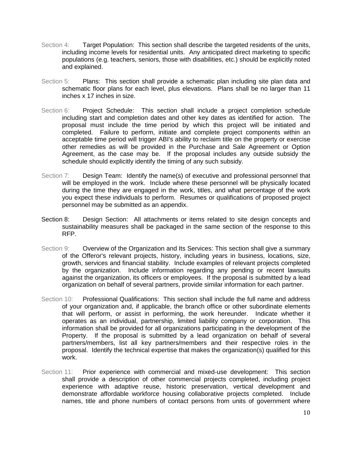- Section 4: Target Population: This section shall describe the targeted residents of the units, including income levels for residential units. Any anticipated direct marketing to specific populations (e.g. teachers, seniors, those with disabilities, etc.) should be explicitly noted and explained.
- Section 5: Plans: This section shall provide a schematic plan including site plan data and schematic floor plans for each level, plus elevations. Plans shall be no larger than 11 inches x 17 inches in size.
- Section 6: Project Schedule: This section shall include a project completion schedule including start and completion dates and other key dates as identified for action. The proposal must include the time period by which this project will be initiated and completed. Failure to perform, initiate and complete project components within an acceptable time period will trigger ABI's ability to reclaim title on the property or exercise other remedies as will be provided in the Purchase and Sale Agreement or Option Agreement, as the case may be. If the proposal includes any outside subsidy the schedule should explicitly identify the timing of any such subsidy.
- Section 7: Design Team: Identify the name(s) of executive and professional personnel that will be employed in the work. Include where these personnel will be physically located during the time they are engaged in the work, titles, and what percentage of the work you expect these individuals to perform. Resumes or qualifications of proposed project personnel may be submitted as an appendix.
- Section 8: Design Section: All attachments or items related to site design concepts and sustainability measures shall be packaged in the same section of the response to this RFP.
- Section 9: Overview of the Organization and Its Services: This section shall give a summary of the Offeror's relevant projects, history, including years in business, locations, size, growth, services and financial stability. Include examples of relevant projects completed by the organization. Include information regarding any pending or recent lawsuits against the organization, its officers or employees. If the proposal is submitted by a lead organization on behalf of several partners, provide similar information for each partner.
- Section 10: Professional Qualifications: This section shall include the full name and address of your organization and, if applicable, the branch office or other subordinate elements that will perform, or assist in performing, the work hereunder. Indicate whether it operates as an individual, partnership, limited liability company or corporation. This information shall be provided for all organizations participating in the development of the Property. If the proposal is submitted by a lead organization on behalf of several partners/members, list all key partners/members and their respective roles in the proposal. Identify the technical expertise that makes the organization(s) qualified for this work.
- Section 11: Prior experience with commercial and mixed-use development: This section shall provide a description of other commercial projects completed, including project experience with adaptive reuse, historic preservation, vertical development and demonstrate affordable workforce housing collaborative projects completed. Include names, title and phone numbers of contact persons from units of government where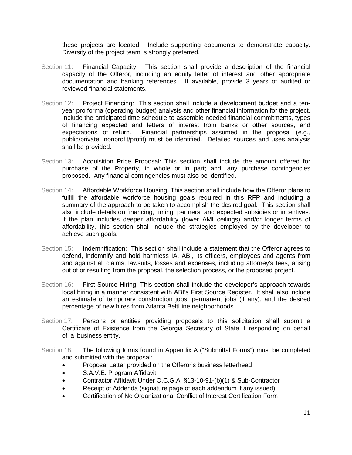these projects are located. Include supporting documents to demonstrate capacity. Diversity of the project team is strongly preferred.

- Section 11: Financial Capacity: This section shall provide a description of the financial capacity of the Offeror, including an equity letter of interest and other appropriate documentation and banking references. If available, provide 3 years of audited or reviewed financial statements.
- Section 12: Project Financing: This section shall include a development budget and a tenyear pro forma (operating budget) analysis and other financial information for the project. Include the anticipated time schedule to assemble needed financial commitments, types of financing expected and letters of interest from banks or other sources, and expectations of return. Financial partnerships assumed in the proposal (e.g., public/private; nonprofit/profit) must be identified. Detailed sources and uses analysis shall be provided.
- Section 13: Acquisition Price Proposal: This section shall include the amount offered for purchase of the Property, in whole or in part; and, any purchase contingencies proposed. Any financial contingencies must also be identified.
- Section 14: Affordable Workforce Housing: This section shall include how the Offeror plans to fulfill the affordable workforce housing goals required in this RFP and including a summary of the approach to be taken to accomplish the desired goal. This section shall also include details on financing, timing, partners, and expected subsidies or incentives. If the plan includes deeper affordability (lower AMI ceilings) and/or longer terms of affordability, this section shall include the strategies employed by the developer to achieve such goals.
- Section 15: Indemnification: This section shall include a statement that the Offeror agrees to defend, indemnify and hold harmless IA, ABI, its officers, employees and agents from and against all claims, lawsuits, losses and expenses, including attorney's fees, arising out of or resulting from the proposal, the selection process, or the proposed project.
- Section 16: First Source Hiring: This section shall include the developer's approach towards local hiring in a manner consistent with ABI's First Source Register. It shall also include an estimate of temporary construction jobs, permanent jobs (if any), and the desired percentage of new hires from Atlanta BeltLine neighborhoods.
- Section 17: Persons or entities providing proposals to this solicitation shall submit a Certificate of Existence from the Georgia Secretary of State if responding on behalf of a business entity.
- Section 18: The following forms found in Appendix A ("Submittal Forms") must be completed and submitted with the proposal:
	- Proposal Letter provided on the Offeror's business letterhead
	- S.A.V.E. Program Affidavit
	- Contractor Affidavit Under O.C.G.A. §13-10-91-(b)(1) & Sub-Contractor
	- Receipt of Addenda (signature page of each addendum if any issued)
	- Certification of No Organizational Conflict of Interest Certification Form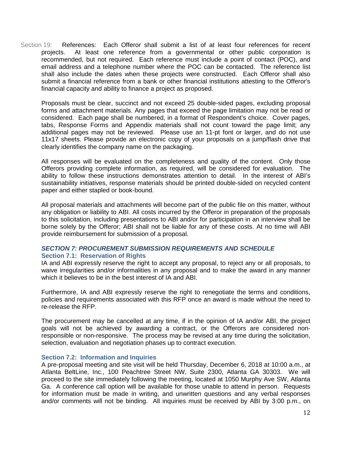Section 19: References:Each Offeror shall submit a list of at least four references for recent projects. At least one reference from a governmental or other public corporation is recommended, but not required. Each reference must include a point of contact (POC), and email address and a telephone number where the POC can be contacted. The reference list shall also include the dates when these projects were constructed. Each Offeror shall also submit a financial reference from a bank or other financial institutions attesting to the Offeror's financial capacity and ability to finance a project as proposed.

Proposals must be clear, succinct and not exceed 25 double-sided pages, excluding proposal forms and attachment materials. Any pages that exceed the page limitation may not be read or considered. Each page shall be numbered, in a format of Respondent's choice. Cover pages, tabs, Response Forms and Appendix materials shall not count toward the page limit; any additional pages may not be reviewed. Please use an 11-pt font or larger, and do not use 11x17 sheets. Please provide an electronic copy of your proposals on a jump/flash drive that clearly identifies the company name on the packaging.

All responses will be evaluated on the completeness and quality of the content. Only those Offerors providing complete information, as required, will be considered for evaluation. The ability to follow these instructions demonstrates attention to detail. In the interest of ABI's sustainability initiatives, response materials should be printed double-sided on recycled content paper and either stapled or book-bound.

All proposal materials and attachments will become part of the public file on this matter, without any obligation or liability to ABI. All costs incurred by the Offeror in preparation of the proposals to this solicitation, including presentations to ABI and/or for participation in an interview shall be borne solely by the Offeror; ABI shall not be liable for any of these costs. At no time will ABI provide reimbursement for submission of a proposal.

### <span id="page-11-1"></span><span id="page-11-0"></span>*SECTION 7: PROCUREMENT SUBMISSION REQUIREMENTS AND SCHEDULE* **Section 7.1: Reservation of Rights**

IA and ABI expressly reserve the right to accept any proposal, to reject any or all proposals, to waive irregularities and/or informalities in any proposal and to make the award in any manner which it believes to be in the best interest of IA and ABI.

Furthermore, IA and ABI expressly reserve the right to renegotiate the terms and conditions, policies and requirements associated with this RFP once an award is made without the need to re-release the RFP.

The procurement may be cancelled at any time, if in the opinion of IA and/or ABI, the project goals will not be achieved by awarding a contract, or the Offerors are considered nonresponsible or non-responsive. The process may be revised at any time during the solicitation, selection, evaluation and negotiation phases up to contract execution.

### <span id="page-11-2"></span>**Section 7.2: Information and Inquiries**

A pre-proposal meeting and site visit will be held Thursday, December 6, 2018 at 10:00 a.m., at Atlanta BeltLine, Inc., 100 Peachtree Street NW, Suite 2300, Atlanta GA 30303. We will proceed to the site immediately following the meeting, located at 1050 Murphy Ave SW, Atlanta Ga. A conference call option will be available for those unable to attend in person. Requests for information must be made in writing, and unwritten questions and any verbal responses and/or comments will not be binding. All inquiries must be received by ABI by 3:00 p.m., on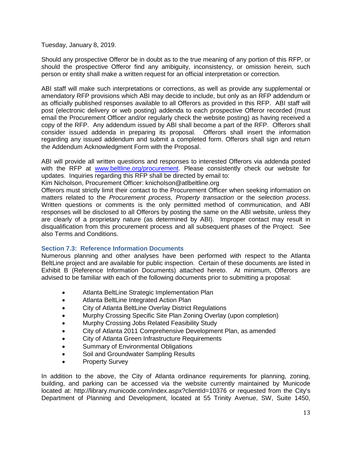Tuesday, January 8, 2019.

Should any prospective Offeror be in doubt as to the true meaning of any portion of this RFP, or should the prospective Offeror find any ambiguity, inconsistency, or omission herein, such person or entity shall make a written request for an official interpretation or correction.

ABI staff will make such interpretations or corrections, as well as provide any supplemental or amendatory RFP provisions which ABI may decide to include, but only as an RFP addendum or as officially published responses available to all Offerors as provided in this RFP. ABI staff will post (electronic delivery or web posting) addenda to each prospective Offeror recorded (must email the Procurement Officer and/or regularly check the website posting) as having received a copy of the RFP. Any addendum issued by ABI shall become a part of the RFP. Offerors shall consider issued addenda in preparing its proposal. Offerors shall insert the information regarding any issued addendum and submit a completed form. Offerors shall sign and return the Addendum Acknowledgment Form with the Proposal.

ABI will provide all written questions and responses to interested Offerors via addenda posted with the RFP at [www.beltline.org/procurement.](http://www.beltline.org/procurement) Please consistently check our website for updates. Inquiries regarding this RFP shall be directed by email to:

Kim Nicholson, Procurement Officer: knicholson@atlbeltline.org

Offerors must strictly limit their contact to the Procurement Officer when seeking information on matters related to the *Procurement process, Property transaction* or the *selection process*. Written questions or comments is the only permitted method of communication, and ABI responses will be disclosed to all Offerors by posting the same on the ABI website, unless they are clearly of a proprietary nature (as determined by ABI). Improper contact may result in disqualification from this procurement process and all subsequent phases of the Project. See also Terms and Conditions.

### <span id="page-12-0"></span>**Section 7.3: Reference Information Documents**

Numerous planning and other analyses have been performed with respect to the Atlanta BeltLine project and are available for public inspection. Certain of these documents are listed in Exhibit B (Reference Information Documents) attached hereto. At minimum, Offerors are advised to be familiar with each of the following documents prior to submitting a proposal:

- Atlanta BeltLine Strategic Implementation Plan
- Atlanta BeltLine Integrated Action Plan
- City of Atlanta BeltLine Overlay District Regulations
- Murphy Crossing Specific Site Plan Zoning Overlay (upon completion)
- Murphy Crossing Jobs Related Feasibility Study
- City of Atlanta 2011 Comprehensive Development Plan, as amended
- City of Atlanta Green Infrastructure Requirements
- Summary of Environmental Obligations
- Soil and Groundwater Sampling Results
- Property Survey

In addition to the above, the City of Atlanta ordinance requirements for planning, zoning, building, and parking can be accessed via the website currently maintained by Municode located at: http://library.municode.com/index.aspx?clientId=10376 or requested from the City's Department of Planning and Development, located at 55 Trinity Avenue, SW, Suite 1450,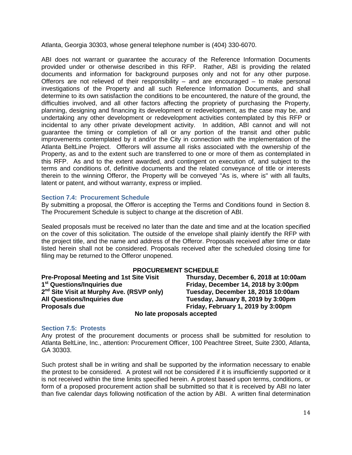Atlanta, Georgia 30303, whose general telephone number is (404) 330-6070.

ABI does not warrant or guarantee the accuracy of the Reference Information Documents provided under or otherwise described in this RFP. Rather, ABI is providing the related documents and information for background purposes only and not for any other purpose. Offerors are not relieved of their responsibility  $-$  and are encouraged  $-$  to make personal investigations of the Property and all such Reference Information Documents, and shall determine to its own satisfaction the conditions to be encountered, the nature of the ground, the difficulties involved, and all other factors affecting the propriety of purchasing the Property, planning, designing and financing its development or redevelopment, as the case may be, and undertaking any other development or redevelopment activities contemplated by this RFP or incidental to any other private development activity. In addition, ABI cannot and will not guarantee the timing or completion of all or any portion of the transit and other public improvements contemplated by it and/or the City in connection with the implementation of the Atlanta BeltLine Project. Offerors will assume all risks associated with the ownership of the Property, as and to the extent such are transferred to one or more of them as contemplated in this RFP. As and to the extent awarded, and contingent on execution of, and subject to the terms and conditions of, definitive documents and the related conveyance of title or interests therein to the winning Offeror, the Property will be conveyed "As is, where is" with all faults, latent or patent, and without warranty, express or implied.

### <span id="page-13-0"></span>**Section 7.4: Procurement Schedule**

By submitting a proposal, the Offeror is accepting the Terms and Conditions found in Section 8. The Procurement Schedule is subject to change at the discretion of ABI.

Sealed proposals must be received no later than the date and time and at the location specified on the cover of this solicitation. The outside of the envelope shall plainly identify the RFP with the project title, and the name and address of the Offeror. Proposals received after time or date listed herein shall not be considered. Proposals received after the scheduled closing time for filing may be returned to the Offeror unopened.

**PROCUREMENT SCHEDULE**<br>Pre-Proposal Meeting and 1st Site Visit Thursday, D **Pre-Proposal Meeting and 1st Site Visit Thursday, December 6, 2018 at 10:00am 2nd Site Visit at Murphy Ave. (RSVP only) Tuesday, December 18, 2018 10:00am All Questions/Inquiries due Tuesday, January 8, 2019 by 3:00pm Proposals due Friday, February 1, 2019 by 3:00pm**

**1st Friday, December 14, 2018 by 3:00pm No late proposals accepted**

### <span id="page-13-1"></span>**Section 7.5: Protests**

Any protest of the procurement documents or process shall be submitted for resolution to Atlanta BeltLine, Inc., attention: Procurement Officer, 100 Peachtree Street, Suite 2300, Atlanta, GA 30303.

Such protest shall be in writing and shall be supported by the information necessary to enable the protest to be considered. A protest will not be considered if it is insufficiently supported or it is not received within the time limits specified herein. A protest based upon terms, conditions, or form of a proposed procurement action shall be submitted so that it is received by ABI no later than five calendar days following notification of the action by ABI. A written final determination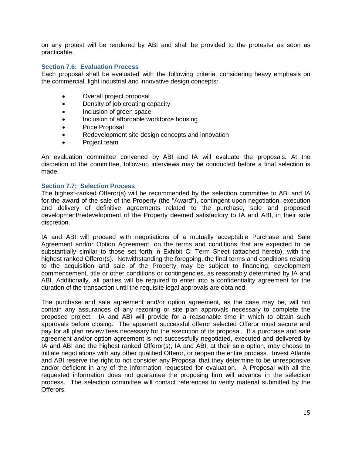on any protest will be rendered by ABI and shall be provided to the protester as soon as practicable.

### <span id="page-14-0"></span>**Section 7.6: Evaluation Process**

Each proposal shall be evaluated with the following criteria, considering heavy emphasis on the commercial, light industrial and innovative design concepts:

- Overall project proposal
- Density of job creating capacity
- Inclusion of green space
- Inclusion of affordable workforce housing
- Price Proposal
- Redevelopment site design concepts and innovation
- Project team

An evaluation committee convened by ABI and IA will evaluate the proposals. At the discretion of the committee, follow-up interviews may be conducted before a final selection is made.

### <span id="page-14-1"></span>**Section 7.7: Selection Process**

The highest-ranked Offeror(s) will be recommended by the selection committee to ABI and IA for the award of the sale of the Property (the "Award"), contingent upon negotiation, execution and delivery of definitive agreements related to the purchase, sale and proposed development/redevelopment of the Property deemed satisfactory to IA and ABI, in their sole discretion.

IA and ABI will proceed with negotiations of a mutually acceptable Purchase and Sale Agreement and/or Option Agreement, on the terms and conditions that are expected to be substantially similar to those set forth in Exhibit C: Term Sheet (attached hereto), with the highest ranked Offeror(s). Notwithstanding the foregoing, the final terms and conditions relating to the acquisition and sale of the Property may be subject to financing, development commencement, title or other conditions or contingencies, as reasonably determined by IA and ABI. Additionally, all parties will be required to enter into a confidentiality agreement for the duration of the transaction until the requisite legal approvals are obtained.

The purchase and sale agreement and/or option agreement, as the case may be, will not contain any assurances of any rezoning or site plan approvals necessary to complete the proposed project. IA and ABI will provide for a reasonable time in which to obtain such approvals before closing. The apparent successful offeror selected Offeror must secure and pay for all plan review fees necessary for the execution of its proposal. If a purchase and sale agreement and/or option agreement is not successfully negotiated, executed and delivered by IA and ABI and the highest ranked Offeror(s), IA and ABI, at their sole option, may choose to initiate negotiations with any other qualified Offeror, or reopen the entire process. Invest Atlanta and ABI reserve the right to not consider any Proposal that they determine to be unresponsive and/or deficient in any of the information requested for evaluation. A Proposal with all the requested information does not guarantee the proposing firm will advance in the selection process. The selection committee will contact references to verify material submitted by the Offerors.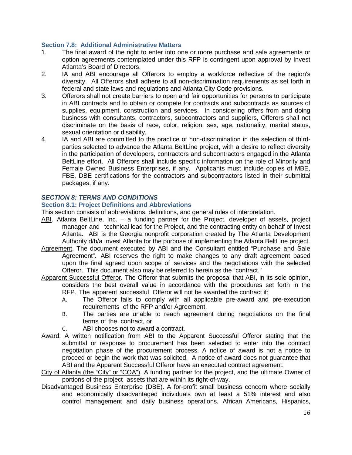### <span id="page-15-0"></span>**Section 7.8: Additional Administrative Matters**

- 1. The final award of the right to enter into one or more purchase and sale agreements or option agreements contemplated under this RFP is contingent upon approval by Invest Atlanta's Board of Directors.
- 2. IA and ABI encourage all Offerors to employ a workforce reflective of the region's diversity. All Offerors shall adhere to all non-discrimination requirements as set forth in federal and state laws and regulations and Atlanta City Code provisions.
- 3. Offerors shall not create barriers to open and fair opportunities for persons to participate in ABI contracts and to obtain or compete for contracts and subcontracts as sources of supplies, equipment, construction and services. In considering offers from and doing business with consultants, contractors, subcontractors and suppliers, Offerors shall not discriminate on the basis of race, color, religion, sex, age, nationality, marital status, sexual orientation or disability.
- 4. IA and ABI are committed to the practice of non-discrimination in the selection of thirdparties selected to advance the Atlanta BeltLine project, with a desire to reflect diversity in the participation of developers, contractors and subcontractors engaged in the Atlanta BeltLine effort. All Offerors shall include specific information on the role of Minority and Female Owned Business Enterprises, if any. Applicants must include copies of MBE, FBE, DBE certifications for the contractors and subcontractors listed in their submittal packages, if any.

### <span id="page-15-1"></span>*SECTION 8: TERMS AND CONDITIONS*

### <span id="page-15-2"></span>**Section 8.1: Project Definitions and Abbreviations**

This section consists of abbreviations, definitions, and general rules of interpretation.

- ABI. Atlanta BeltLine, Inc. a funding partner for the Project, developer of assets, project manager and technical lead for the Project, and the contracting entity on behalf of Invest Atlanta. ABI is the Georgia nonprofit corporation created by The Atlanta Development Authority d/b/a Invest Atlanta for the purpose of implementing the Atlanta BeltLine project.
- Agreement. The document executed by ABI and the Consultant entitled "Purchase and Sale Agreement". ABI reserves the right to make changes to any draft agreement based upon the final agreed upon scope of services and the negotiations with the selected Offeror. This document also may be referred to herein as the "contract."
- Apparent Successful Offeror. The Offeror that submits the proposal that ABI, in its sole opinion, considers the best overall value in accordance with the procedures set forth in the RFP. The apparent successful Offeror will not be awarded the contract if:
	- A. The Offeror fails to comply with all applicable pre-award and pre-execution requirements of the RFP and/or Agreement,
	- B. The parties are unable to reach agreement during negotiations on the final terms of the contract, or
	- C. ABI chooses not to award a contract.
- Award. A written notification from ABI to the Apparent Successful Offeror stating that the submittal or response to procurement has been selected to enter into the contract negotiation phase of the procurement process. A notice of award is not a notice to proceed or begin the work that was solicited. A notice of award does not guarantee that ABI and the Apparent Successful Offeror have an executed contract agreement.
- City of Atlanta (the "City" or "COA"). A funding partner for the project, and the ultimate Owner of portions of the project assets that are within its right-of-way.
- Disadvantaged Business Enterprise (DBE). A for-profit small business concern where socially and economically disadvantaged individuals own at least a 51% interest and also control management and daily business operations. African Americans, Hispanics,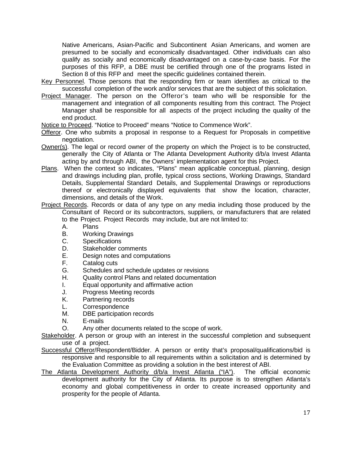Native Americans, Asian-Pacific and Subcontinent Asian Americans, and women are presumed to be socially and economically disadvantaged. Other individuals can also qualify as socially and economically disadvantaged on a case-by-case basis. For the purposes of this RFP, a DBE must be certified through one of the programs listed in Section 8 of this RFP and meet the specific guidelines contained therein.

- Key Personnel. Those persons that the responding firm or team identifies as critical to the successful completion of the work and/or services that are the subject of this solicitation.
- Project Manager. The person on the Offeror's team who will be responsible for the management and integration of all components resulting from this contract. The Project Manager shall be responsible for all aspects of the project including the quality of the end product.
- Notice to Proceed. "Notice to Proceed" means "Notice to Commence Work".
- Offeror. One who submits a proposal in response to a Request for Proposals in competitive negotiation.
- Owner(s). The legal or record owner of the property on which the Project is to be constructed, generally the City of Atlanta or The Atlanta Development Authority d/b/a Invest Atlanta acting by and through ABI, the Owners' implementation agent for this Project.
- Plans. When the context so indicates, "Plans" mean applicable conceptual, planning, design and drawings including plan, profile, typical cross sections, Working Drawings, Standard Details, Supplemental Standard Details, and Supplemental Drawings or reproductions thereof or electronically displayed equivalents that show the location, character, dimensions, and details of the Work.
- Project Records. Records or data of any type on any media including those produced by the Consultant of Record or its subcontractors, suppliers, or manufacturers that are related to the Project. Project Records may include, but are not limited to:
	- A. Plans
	- B. Working Drawings
	- C. Specifications
	- D. Stakeholder comments<br>E. Design notes and comp
	- E. Design notes and computations<br>F. Catalog cuts
	- F. Catalog cuts<br>G. Schedules ar
	- G. Schedules and schedule updates or revisions<br>H. Quality control Plans and related documentation
	- Quality control Plans and related documentation
	- I. Equal opportunity and affirmative action
	- J. Progress Meeting records
	- K. Partnering records
	- L. Correspondence
	- M. DBE participation records<br>N. F-mails
	- E-mails
	- O. Any other documents related to the scope of work.
- Stakeholder. A person or group with an interest in the successful completion and subsequent use of a project.
- Successful Offeror/Respondent/Bidder. A person or entity that's proposal/qualifications/bid is responsive and responsible to all requirements within a solicitation and is determined by the Evaluation Committee as providing a solution in the best interest of ABI.
- The Atlanta Development Authority d/b/a Invest Atlanta ("IA"). The official economic development authority for the City of Atlanta. Its purpose is to strengthen Atlanta's economy and global competitiveness in order to create increased opportunity and prosperity for the people of Atlanta.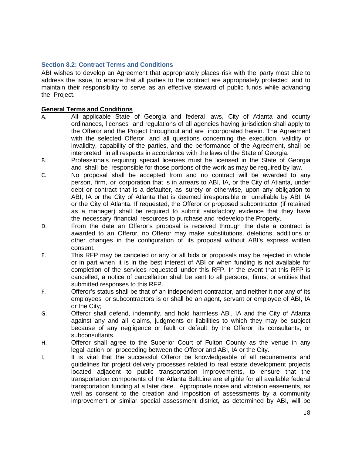### <span id="page-17-0"></span>**Section 8.2: Contract Terms and Conditions**

ABI wishes to develop an Agreement that appropriately places risk with the party most able to address the issue, to ensure that all parties to the contract are appropriately protected and to maintain their responsibility to serve as an effective steward of public funds while advancing the Project.

### **General Terms and Conditions**

- A. All applicable State of Georgia and federal laws, City of Atlanta and county ordinances, licenses and regulations of all agencies having jurisdiction shall apply to the Offeror and the Project throughout and are incorporated herein. The Agreement with the selected Offeror, and all questions concerning the execution, validity or invalidity, capability of the parties, and the performance of the Agreement, shall be interpreted in all respects in accordance with the laws of the State of Georgia.
- B. Professionals requiring special licenses must be licensed in the State of Georgia and shall be responsible for those portions of the work as may be required by law.
- C. No proposal shall be accepted from and no contract will be awarded to any person, firm, or corporation that is in arrears to ABI, IA, or the City of Atlanta, under debt or contract that is a defaulter, as surety or otherwise, upon any obligation to ABI, IA or the City of Atlanta that is deemed irresponsible or unreliable by ABI, IA or the City of Atlanta. If requested, the Offeror or proposed subcontractor (if retained as a manager) shall be required to submit satisfactory evidence that they have the necessary financial resources to purchase and redevelop the Property.
- D. From the date an Offeror's proposal is received through the date a contract is awarded to an Offeror, no Offeror may make substitutions, deletions, additions or other changes in the configuration of its proposal without ABI's express written consent.
- E. This RFP may be canceled or any or all bids or proposals may be rejected in whole or in part when it is in the best interest of ABI or when funding is not available for completion of the services requested under this RFP. In the event that this RFP is cancelled, a notice of cancellation shall be sent to all persons, firms, or entities that submitted responses to this RFP.
- F. Offeror's status shall be that of an independent contractor, and neither it nor any of its employees or subcontractors is or shall be an agent, servant or employee of ABI, IA or the City;
- G. Offeror shall defend, indemnify, and hold harmless ABI, IA and the City of Atlanta against any and all claims, judgments or liabilities to which they may be subject because of any negligence or fault or default by the Offeror, its consultants, or subconsultants.
- H. Offeror shall agree to the Superior Court of Fulton County as the venue in any legal action or proceeding between the Offeror and ABI, IA or the City.
- I. It is vital that the successful Offeror be knowledgeable of all requirements and guidelines for project delivery processes related to real estate development projects located adjacent to public transportation improvements, to ensure that the transportation components of the Atlanta BeltLine are eligible for all available federal transportation funding at a later date. Appropriate noise and vibration easements, as well as consent to the creation and imposition of assessments by a community improvement or similar special assessment district, as determined by ABI, will be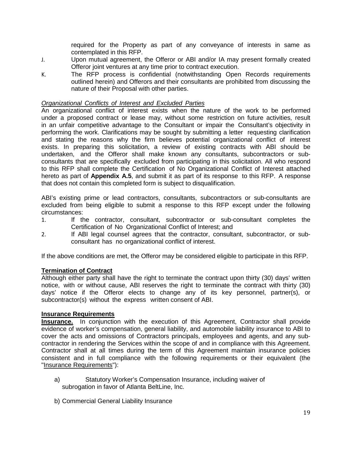required for the Property as part of any conveyance of interests in same as contemplated in this RFP.

- J. Upon mutual agreement, the Offeror or ABI and/or IA may present formally created Offeror joint ventures at any time prior to contract execution.
- K. The RFP process is confidential (notwithstanding Open Records requirements outlined herein) and Offerors and their consultants are prohibited from discussing the nature of their Proposal with other parties.

### *Organizational Conflicts of Interest and Excluded Parties*

An organizational conflict of interest exists when the nature of the work to be performed under a proposed contract or lease may, without some restriction on future activities, result in an unfair competitive advantage to the Consultant or impair the Consultant's objectivity in performing the work. Clarifications may be sought by submitting a letter requesting clarification and stating the reasons why the firm believes potential organizational conflict of interest exists. In preparing this solicitation, a review of existing contracts with ABI should be undertaken, and the Offeror shall make known any consultants, subcontractors or subconsultants that are specifically excluded from participating in this solicitation. All who respond to this RFP shall complete the Certification of No Organizational Conflict of Interest attached hereto as part of **Appendix A.5**, and submit it as part of its response to this RFP. A response that does not contain this completed form is subject to disqualification.

ABI's existing prime or lead contractors, consultants, subcontractors or sub-consultants are excluded from being eligible to submit a response to this RFP except under the following circumstances:

- 1. If the contractor, consultant, subcontractor or sub-consultant completes the Certification of No Organizational Conflict of Interest; and
- 2. If ABI legal counsel agrees that the contractor, consultant, subcontractor, or subconsultant has no organizational conflict of interest.

If the above conditions are met, the Offeror may be considered eligible to participate in this RFP.

### **Termination of Contract**

Although either party shall have the right to terminate the contract upon thirty (30) days' written notice, with or without cause, ABI reserves the right to terminate the contract with thirty (30) days' notice if the Offeror elects to change any of its key personnel, partner(s), or subcontractor(s) without the express written consent of ABI.

### **Insurance Requirements**

**Insurance.** In conjunction with the execution of this Agreement, Contractor shall provide evidence of worker's compensation, general liability, and automobile liability insurance to ABI to cover the acts and omissions of Contractors principals, employees and agents, and any subcontractor in rendering the Services within the scope of and in compliance with this Agreement. Contractor shall at all times during the term of this Agreement maintain insurance policies consistent and in full compliance with the following requirements or their equivalent (the "Insurance Requirements"):

- <span id="page-18-1"></span><span id="page-18-0"></span>a) Statutory Worker's Compensation Insurance, including waiver of subrogation in favor of Atlanta BeltLine, Inc.
- <span id="page-18-2"></span>b) Commercial General Liability Insurance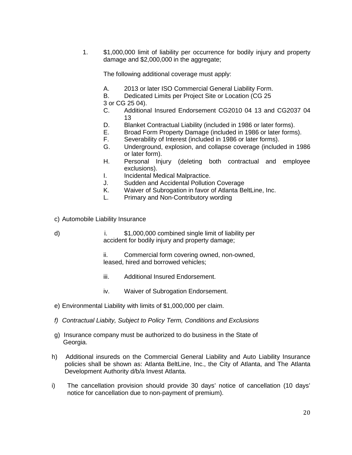1. \$1,000,000 limit of liability per occurrence for bodily injury and property damage and \$2,000,000 in the aggregate;

The following additional coverage must apply:

- A. 2013 or later ISO Commercial General Liability Form.
- B. Dedicated Limits per Project Site or Location (CG 25
- 3 or CG 25 04).
	- Additional Insured Endorsement CG2010 04 13 and CG2037 04 13
- D. Blanket Contractual Liability (included in 1986 or later forms).
- E. Broad Form Property Damage (included in 1986 or later forms).
- F. Severability of Interest (included in 1986 or later forms).
- G. Underground, explosion, and collapse coverage (included in 1986 or later form).
- H. Personal Injury (deleting both contractual and employee exclusions).
- I. Incidental Medical Malpractice.
- J. Sudden and Accidental Pollution Coverage
- K. Waiver of Subrogation in favor of Atlanta BeltLine, Inc.
- <span id="page-19-1"></span>L. Primary and Non-Contributory wording
- <span id="page-19-0"></span>c) Automobile Liability Insurance
- d) i. \$1,000,000 combined single limit of liability per accident for bodily injury and property damage;
	- ii. Commercial form covering owned, non-owned, leased, hired and borrowed vehicles;
	- iii. Additional Insured Endorsement.
	- iv. Waiver of Subrogation Endorsement.
- <span id="page-19-2"></span>e) Environmental Liability with limits of \$1,000,000 per claim.
- <span id="page-19-3"></span>*f) Contractual Liabity, Subject to Policy Term, Conditions and Exclusions*
- <span id="page-19-5"></span><span id="page-19-4"></span>g) Insurance company must be authorized to do business in the State of Georgia.
- h) Additional insureds on the Commercial General Liability and Auto Liability Insurance policies shall be shown as: Atlanta BeltLine, Inc., the City of Atlanta, and The Atlanta Development Authority d/b/a Invest Atlanta.
- i) The cancellation provision should provide 30 days' notice of cancellation (10 days' notice for cancellation due to non-payment of premium).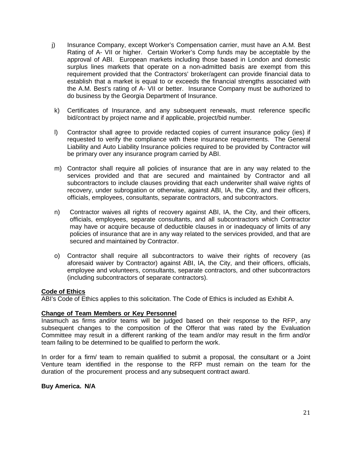- j) Insurance Company, except Worker's Compensation carrier, must have an A.M. Best Rating of A- VII or higher. Certain Worker's Comp funds may be acceptable by the approval of ABI. European markets including those based in London and domestic surplus lines markets that operate on a non-admitted basis are exempt from this requirement provided that the Contractors' broker/agent can provide financial data to establish that a market is equal to or exceeds the financial strengths associated with the A.M. Best's rating of A- VII or better. Insurance Company must be authorized to do business by the Georgia Department of Insurance.
- k) Certificates of Insurance, and any subsequent renewals, must reference specific bid/contract by project name and if applicable, project/bid number.
- l) Contractor shall agree to provide redacted copies of current insurance policy (ies) if requested to verify the compliance with these insurance requirements. The General Liability and Auto Liability Insurance policies required to be provided by Contractor will be primary over any insurance program carried by ABI.
- m) Contractor shall require all policies of insurance that are in any way related to the services provided and that are secured and maintained by Contractor and all subcontractors to include clauses providing that each underwriter shall waive rights of recovery, under subrogation or otherwise, against ABI, IA, the City, and their officers, officials, employees, consultants, separate contractors, and subcontractors.
- n) Contractor waives all rights of recovery against ABI, IA, the City, and their officers, officials, employees, separate consultants, and all subcontractors which Contractor may have or acquire because of deductible clauses in or inadequacy of limits of any policies of insurance that are in any way related to the services provided, and that are secured and maintained by Contractor.
- o) Contractor shall require all subcontractors to waive their rights of recovery (as aforesaid waiver by Contractor) against ABI, IA, the City, and their officers, officials, employee and volunteers, consultants, separate contractors, and other subcontractors (including subcontractors of separate contractors).

### **Code of Ethics**

ABI's Code of Ethics applies to this solicitation. The Code of Ethics is included as Exhibit A.

### **Change of Team Members or Key Personnel**

Inasmuch as firms and/or teams will be judged based on their response to the RFP, any subsequent changes to the composition of the Offeror that was rated by the Evaluation Committee may result in a different ranking of the team and/or may result in the firm and/or team failing to be determined to be qualified to perform the work.

In order for a firm/ team to remain qualified to submit a proposal, the consultant or a Joint Venture team identified in the response to the RFP must remain on the team for the duration of the procurement process and any subsequent contract award.

### **Buy America. N/A**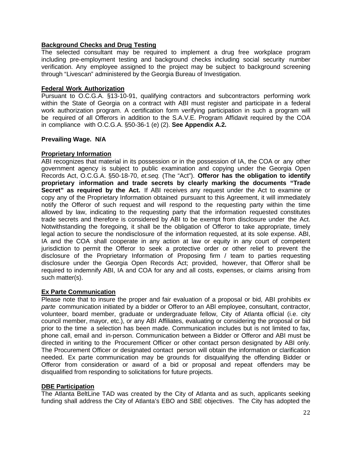### **Background Checks and Drug Testing**

The selected consultant may be required to implement a drug free workplace program including pre-employment testing and background checks including social security number verification. Any employee assigned to the project may be subject to background screening through "Livescan" administered by the Georgia Bureau of Investigation.

### **Federal Work Authorization**

Pursuant to O.C.G.A. §13-10-91, qualifying contractors and subcontractors performing work within the State of Georgia on a contract with ABI must register and participate in a federal work authorization program. A certification form verifying participation in such a program will be required of all Offerors in addition to the S.A.V.E. Program Affidavit required by the COA in compliance with O.C.G.A. §50-36-1 (e) (2). **See Appendix A.2.**

### **Prevailing Wage. N/A**

### **Proprietary Information**

ABI recognizes that material in its possession or in the possession of IA, the COA or any other government agency is subject to public examination and copying under the Georgia Open Records Act, O.C.G.A. §50-18-70, *et.seq.* (The "Act"). **Offeror has the obligation to identify proprietary information and trade secrets by clearly marking the documents "Trade Secret" as required by the Act.** If ABI receives any request under the Act to examine or copy any of the Proprietary Information obtained pursuant to this Agreement, it will immediately notify the Offeror of such request and will respond to the requesting party within the time allowed by law, indicating to the requesting party that the information requested constitutes trade secrets and therefore is considered by ABI to be exempt from disclosure under the Act. Notwithstanding the foregoing, it shall be the obligation of Offeror to take appropriate, timely legal action to secure the nondisclosure of the information requested, at its sole expense. ABI, IA and the COA shall cooperate in any action at law or equity in any court of competent jurisdiction to permit the Offeror to seek a protective order or other relief to prevent the disclosure of the Proprietary Information of Proposing firm / team to parties requesting disclosure under the Georgia Open Records Act; provided, however, that Offeror shall be required to indemnify ABI, IA and COA for any and all costs, expenses, or claims arising from such matter(s).

### **Ex Parte Communication**

Please note that to insure the proper and fair evaluation of a proposal or bid, ABI prohibits *ex parte* communication initiated by a bidder or Offeror to an ABI employee, consultant, contractor, volunteer, board member, graduate or undergraduate fellow, City of Atlanta official (i.e. city council member, mayor, etc.), or any ABI Affiliates, evaluating or considering the proposal or bid prior to the time a selection has been made. Communication includes but is not limited to fax, phone call, email and in-person. Communication between a Bidder or Offeror and ABI must be directed in writing to the Procurement Officer or other contact person designated by ABI only. The Procurement Officer or designated contact person will obtain the information or clarification needed. Ex parte communication may be grounds for disqualifying the offending Bidder or Offeror from consideration or award of a bid or proposal and repeat offenders may be disqualified from responding to solicitations for future projects.

### **DBE Participation**

The Atlanta BeltLine TAD was created by the City of Atlanta and as such, applicants seeking funding shall address the City of Atlanta's EBO and SBE objectives. The City has adopted the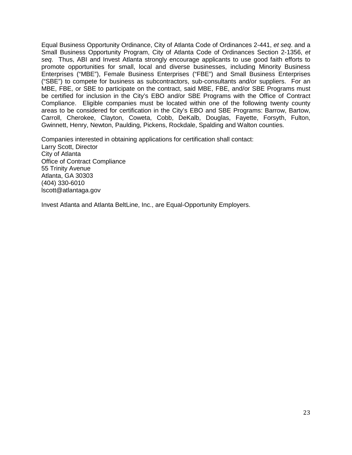Equal Business Opportunity Ordinance, City of Atlanta Code of Ordinances 2-441, *et seq*. and a Small Business Opportunity Program, City of Atlanta Code of Ordinances Section 2-1356, *et seq*. Thus, ABI and Invest Atlanta strongly encourage applicants to use good faith efforts to promote opportunities for small, local and diverse businesses, including Minority Business Enterprises ("MBE"), Female Business Enterprises ("FBE") and Small Business Enterprises ("SBE") to compete for business as subcontractors, sub-consultants and/or suppliers. For an MBE, FBE, or SBE to participate on the contract, said MBE, FBE, and/or SBE Programs must be certified for inclusion in the City's EBO and/or SBE Programs with the Office of Contract Compliance. Eligible companies must be located within one of the following twenty county areas to be considered for certification in the City's EBO and SBE Programs: Barrow, Bartow, Carroll, Cherokee, Clayton, Coweta, Cobb, DeKalb, Douglas, Fayette, Forsyth, Fulton, Gwinnett, Henry, Newton, Paulding, Pickens, Rockdale, Spalding and Walton counties.

Companies interested in obtaining applications for certification shall contact: Larry Scott, Director City of Atlanta Office of Contract Compliance 55 Trinity Avenue Atlanta, GA 30303 (404) 330-6010 lscott@atlantaga.gov

Invest Atlanta and Atlanta BeltLine, Inc., are Equal-Opportunity Employers.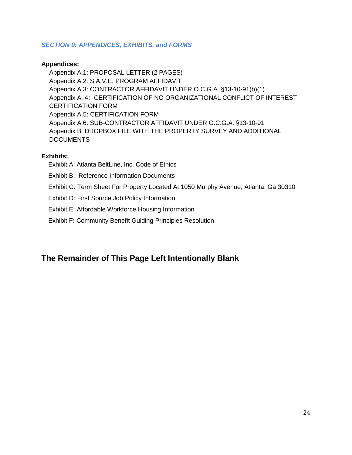### <span id="page-23-0"></span>*SECTION 9: APPENDICES, EXHIBITS, and FORMS*

### **Appendices:**

Appendix A.1: PROPOSAL LETTER (2 PAGES) Appendix A.2: S.A.V.E. PROGRAM AFFIDAVIT Appendix A.3: CONTRACTOR AFFIDAVIT UNDER O.C.G.A. §13-10-91(b)(1) Appendix A.4: CERTIFICATION OF NO ORGANIZATIONAL CONFLICT OF INTEREST CERTIFICATION FORM Appendix A.5: CERTIFICATION FORM Appendix A.6: SUB-CONTRACTOR AFFIDAVIT UNDER O.C.G.A. §13-10-91 Appendix B: DROPBOX FILE WITH THE PROPERTY SURVEY AND ADDITIONAL DOCUMENTS

### **Exhibits:**

Exhibit A: Atlanta BeltLine, Inc. Code of Ethics

- Exhibit B: Reference Information Documents
- Exhibit C: Term Sheet For Property Located At 1050 Murphy Avenue, Atlanta, Ga 30310
- Exhibit D: First Source Job Policy Information
- Exhibit E: Affordable Workforce Housing Information
- Exhibit F: Community Benefit Guiding Principles Resolution

### **The Remainder of This Page Left Intentionally Blank**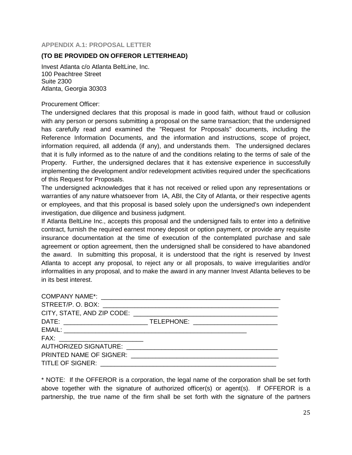<span id="page-24-0"></span>**APPENDIX A.1: PROPOSAL LETTER**

### **(TO BE PROVIDED ON OFFEROR LETTERHEAD)**

Invest Atlanta c/o Atlanta BeltLine, Inc. 100 Peachtree Street Suite 2300 Atlanta, Georgia 30303

### Procurement Officer:

The undersigned declares that this proposal is made in good faith, without fraud or collusion with any person or persons submitting a proposal on the same transaction; that the undersigned has carefully read and examined the "Request for Proposals" documents, including the Reference Information Documents, and the information and instructions, scope of project, information required, all addenda (if any), and understands them. The undersigned declares that it is fully informed as to the nature of and the conditions relating to the terms of sale of the Property. Further, the undersigned declares that it has extensive experience in successfully implementing the development and/or redevelopment activities required under the specifications of this Request for Proposals.

The undersigned acknowledges that it has not received or relied upon any representations or warranties of any nature whatsoever from IA, ABI, the City of Atlanta, or their respective agents or employees, and that this proposal is based solely upon the undersigned's own independent investigation, due diligence and business judgment.

If Atlanta BeltLine Inc., accepts this proposal and the undersigned fails to enter into a definitive contract, furnish the required earnest money deposit or option payment, or provide any requisite insurance documentation at the time of execution of the contemplated purchase and sale agreement or option agreement, then the undersigned shall be considered to have abandoned the award. In submitting this proposal, it is understood that the right is reserved by Invest Atlanta to accept any proposal, to reject any or all proposals, to waive irregularities and/or informalities in any proposal, and to make the award in any manner Invest Atlanta believes to be in its best interest.

\* NOTE: If the OFFEROR is a corporation, the legal name of the corporation shall be set forth above together with the signature of authorized officer(s) or agent(s). If OFFEROR is a partnership, the true name of the firm shall be set forth with the signature of the partners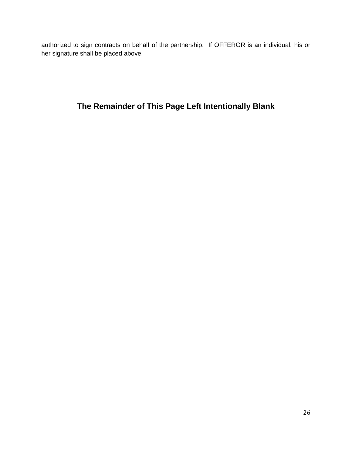authorized to sign contracts on behalf of the partnership. If OFFEROR is an individual, his or her signature shall be placed above.

### **The Remainder of This Page Left Intentionally Blank**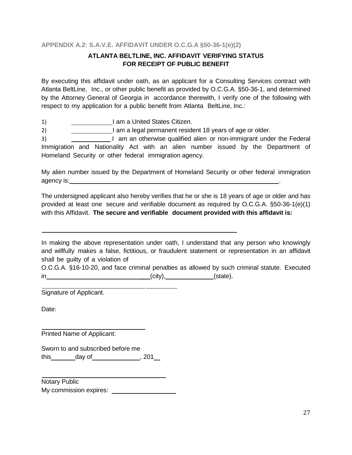### <span id="page-26-0"></span>**APPENDIX A.2: S.A.V.E. AFFIDAVIT UNDER O.C.G.A §50-36-1(e)(2)**

### **ATLANTA BELTLINE, INC. AFFIDAVIT VERIFYING STATUS FOR RECEIPT OF PUBLIC BENEFIT**

By executing this affidavit under oath, as an applicant for a Consulting Services contract with Atlanta BeltLine, Inc., or other public benefit as provided by O.C.G.A. §50-36-1, and determined by the Attorney General of Georgia in accordance therewith, I verify one of the following with respect to my application for a public benefit from Atlanta BeltLine, Inc.:

1) **I am a United States Citizen.** 

2) I am a legal permanent resident 18 years of age or older.

3) I am an otherwise qualified alien or non-immigrant under the Federal Immigration and Nationality Act with an alien number issued by the Department of Homeland Security or other federal immigration agency.

My alien number issued by the Department of Homeland Security or other federal immigration agency is: .

The undersigned applicant also hereby verifies that he or she is 18 years of age or older and has provided at least one secure and verifiable document as required by O.C.G.A. §50-36-1(e)(1) with this Affidavit. **The secure and verifiable document provided with this affidavit is:**

In making the above representation under oath, I understand that any person who knowingly and willfully makes a false, fictitious, or fraudulent statement or representation in an affidavit shall be guilty of a violation of

|    | O.C.G.A. §16-10-20, and face criminal penalties as allowed by such criminal statute. Executed |          |  |
|----|-----------------------------------------------------------------------------------------------|----------|--|
| ın | $(city)$ ,                                                                                    | (state). |  |

Signature of Applicant.

Date:

Printed Name of Applicant:

Sworn to and subscribed before me this  $\qquad \qquad$  day of  $\qquad \qquad$  , 201

Notary Public My commission expires: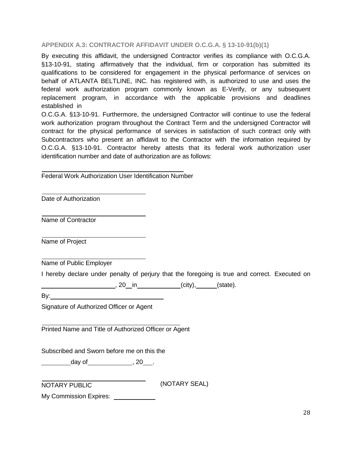### <span id="page-27-0"></span>**APPENDIX A.3: CONTRACTOR AFFIDAVIT UNDER O.C.G.A. § 13-10-91(b)(1)**

By executing this affidavit, the undersigned Contractor verifies its compliance with O.C.G.A. §13-10-91, stating affirmatively that the individual, firm or corporation has submitted its qualifications to be considered for engagement in the physical performance of services on behalf of ATLANTA BELTLINE, INC. has registered with, is authorized to use and uses the federal work authorization program commonly known as E-Verify, or any subsequent replacement program, in accordance with the applicable provisions and deadlines established in

O.C.G.A. §13-10-91. Furthermore, the undersigned Contractor will continue to use the federal work authorization program throughout the Contract Term and the undersigned Contractor will contract for the physical performance of services in satisfaction of such contract only with Subcontractors who present an affidavit to the Contractor with the information required by O.C.G.A. §13-10-91. Contractor hereby attests that its federal work authorization user identification number and date of authorization are as follows:

Federal Work Authorization User Identification Number

Date of Authorization

Name of Contractor

Name of Project

Name of Public Employer

I hereby declare under penalty of perjury that the foregoing is true and correct. Executed on

(city), 10 in (city), 130 state).

 $By:$ 

Signature of Authorized Officer or Agent

Printed Name and Title of Authorized Officer or Agent

Subscribed and Sworn before me on this the

day of 3. 20 ...

NOTARY PUBLIC (NOTARY SEAL)

My Commission Expires: **With American**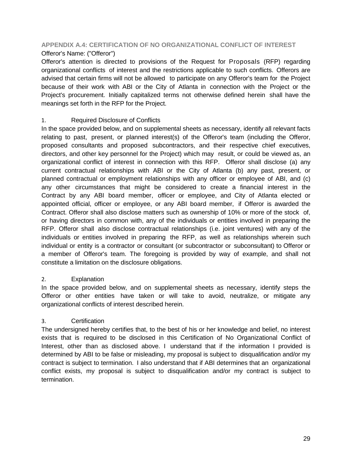## <span id="page-28-0"></span>**APPENDIX A.4: CERTIFICATION OF NO ORGANIZATIONAL CONFLICT OF INTEREST**

### Offeror's Name: ("Offeror")

Offeror's attention is directed to provisions of the Request for Proposals (RFP) regarding organizational conflicts of interest and the restrictions applicable to such conflicts. Offerors are advised that certain firms will not be allowed to participate on any Offeror's team for the Project because of their work with ABI or the City of Atlanta in connection with the Project or the Project's procurement. Initially capitalized terms not otherwise defined herein shall have the meanings set forth in the RFP for the Project.

### 1. Required Disclosure of Conflicts

In the space provided below, and on supplemental sheets as necessary, identify all relevant facts relating to past, present, or planned interest(s) of the Offeror's team (including the Offeror, proposed consultants and proposed subcontractors, and their respective chief executives, directors, and other key personnel for the Project) which may result, or could be viewed as, an organizational conflict of interest in connection with this RFP. Offeror shall disclose (a) any current contractual relationships with ABI or the City of Atlanta (b) any past, present, or planned contractual or employment relationships with any officer or employee of ABI, and (c) any other circumstances that might be considered to create a financial interest in the Contract by any ABI board member, officer or employee, and City of Atlanta elected or appointed official, officer or employee, or any ABI board member, if Offeror is awarded the Contract. Offeror shall also disclose matters such as ownership of 10% or more of the stock of, or having directors in common with, any of the individuals or entities involved in preparing the RFP. Offeror shall also disclose contractual relationships (i.e. joint ventures) with any of the individuals or entities involved in preparing the RFP, as well as relationships wherein such individual or entity is a contractor or consultant (or subcontractor or subconsultant) to Offeror or a member of Offeror's team. The foregoing is provided by way of example, and shall not constitute a limitation on the disclosure obligations.

### 2. Explanation

In the space provided below, and on supplemental sheets as necessary, identify steps the Offeror or other entities have taken or will take to avoid, neutralize, or mitigate any organizational conflicts of interest described herein.

### 3. Certification

The undersigned hereby certifies that, to the best of his or her knowledge and belief, no interest exists that is required to be disclosed in this Certification of No Organizational Conflict of Interest, other than as disclosed above. I understand that if the information I provided is determined by ABI to be false or misleading, my proposal is subject to disqualification and/or my contract is subject to termination. I also understand that if ABI determines that an organizational conflict exists, my proposal is subject to disqualification and/or my contract is subject to termination.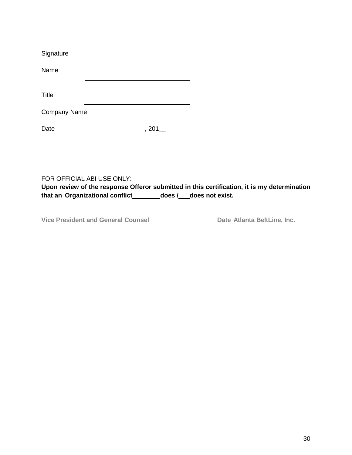| Signature           |       |
|---------------------|-------|
| Name                |       |
| <b>Title</b>        |       |
| <b>Company Name</b> |       |
| Date                | , 201 |

FOR OFFICIAL ABI USE ONLY:

**Upon review of the response Offeror submitted in this certification, it is my determination that an Organizational conflict does / \_does not exist.**

**Vice President and General Counsel Date Atlanta BeltLine, Inc.**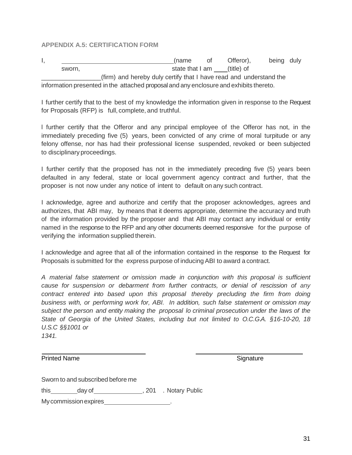### <span id="page-30-0"></span>**APPENDIX A.5: CERTIFICATION FORM**

I, the contract of the contract of the contract of the contract of the contract of the being duly sworn, sworn, state that I am \_\_\_(title) of (firm) and hereby duly certify that I have read and understand the information presented in the attached proposaland any enclosure and exhibits thereto.

I further certify that to the best of my knowledge the information given in response to the Request for Proposals (RFP) is full, complete, and truthful.

l further certify that the Offeror and any principal employee of the Offeror has not, in the immediately preceding five (5) years, been convicted of any crime of moral turpitude or any felony offense, nor has had their professional license suspended, revoked or been subjected to disciplinary proceedings.

I further certify that the proposed has not in the immediately preceding five (5) years been defaulted in any federal, state or local government agency contract and further, that the proposer is not now under any notice of intent to default on any such contract.

I acknowledge, agree and authorize and certify that the proposer acknowledges, agrees and authorizes, that ABI may, by means that it deems appropriate, determine the accuracy and truth of the information provided by the proposer and that ABI may contact any individual or entity named in the response to the RFP and any other documents deemed responsive for the purpose of verifying the information supplied therein.

I acknowledge and agree that all of the information contained in the response to the Request for Proposals is submitted for the express purpose of inducing ABI to award a contract.

*A material false statement or omission made in conjunction with this proposal is sufficient cause for suspension or debarment from further contracts, or denial of rescission of any contract entered into based upon this proposal thereby precluding the firm from doing business with, or performing work for, ABI. In addition, such false statement or omission may subject the person and entity making the proposal lo criminal prosecution under the laws of the State of Georgia of the United States, including but not limited to O.C.G.A. §16-10-20, 18 U.S.C §§1001 or 1341.*

Printed Name **Signature** Signature Signature Signature Signature

Sworn to and subscribed before me

this \_\_\_\_\_\_\_\_ day of \_\_\_\_\_\_\_\_\_\_\_\_\_\_\_\_\_, 201 . Notary Public

Mycommissionexpires .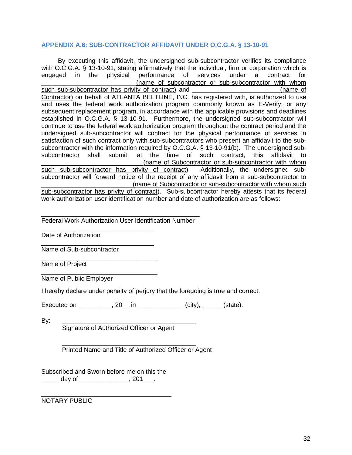### <span id="page-31-0"></span>**APPENDIX A.6: SUB-CONTRACTOR AFFIDAVIT UNDER O.C.G.A. § 13-10-91**

By executing this affidavit, the undersigned sub-subcontractor verifies its compliance with O.C.G.A. § 13-10-91, stating affirmatively that the individual, firm or corporation which is engaged in the physical performance of services under a contract for \_\_\_\_\_\_\_\_\_\_\_\_\_\_\_\_\_\_\_\_\_\_\_\_\_\_\_(name of subcontractor or sub-subcontractor with whom such sub-subcontractor has privity of contract) and **EXEC 2008** (name of Contractor) on behalf of ATLANTA BELTLINE, INC. has registered with, is authorized to use and uses the federal work authorization program commonly known as E-Verify, or any subsequent replacement program, in accordance with the applicable provisions and deadlines established in O.C.G.A. § 13-10-91. Furthermore, the undersigned sub-subcontractor will continue to use the federal work authorization program throughout the contract period and the undersigned sub-subcontractor will contract for the physical performance of services in satisfaction of such contract only with sub-subcontractors who present an affidavit to the subsubcontractor with the information required by O.C.G.A. § 13-10-91(b). The undersigned subsubcontractor shall submit, at the time of such contract, this affidavit to (name of Subcontractor or sub-subcontractor with whom such sub-subcontractor has privity of contract). Additionally, the undersigned subsubcontractor will forward notice of the receipt of any affidavit from a sub-subcontractor to (name of Subcontractor or sub-subcontractor with whom such sub-subcontractor has privity of contract). Sub-subcontractor hereby attests that its federal work authorization user identification number and date of authorization are as follows:

\_\_\_\_\_\_\_\_\_\_\_\_\_\_\_\_\_\_\_\_\_\_\_\_\_\_\_\_\_\_\_\_\_\_\_\_\_\_\_\_\_\_\_\_\_ Federal Work Authorization User Identification Number

\_\_\_\_\_\_\_\_\_\_\_\_\_\_\_\_\_\_\_\_\_\_\_\_\_\_\_\_\_\_\_\_ Date of Authorization

\_\_\_\_\_\_\_\_\_\_\_\_\_\_\_\_\_\_\_\_\_\_\_\_\_\_\_\_\_\_\_\_ Name of Sub-subcontractor

\_\_\_\_\_\_\_\_\_\_\_\_\_\_\_\_\_\_\_\_\_\_\_\_\_\_\_\_\_\_\_\_\_ Name of Project

\_\_\_\_\_\_\_\_\_\_\_\_\_\_\_\_\_\_\_\_\_\_\_\_\_\_\_\_\_\_\_\_\_ Name of Public Employer

I hereby declare under penalty of perjury that the foregoing is true and correct.

Executed on \_\_\_\_\_\_\_\_\_\_\_, 20\_\_ in \_\_\_\_\_\_\_\_\_\_\_\_\_\_(city), \_\_\_\_\_\_(state).

By: \_\_\_\_\_\_\_\_\_\_\_\_\_\_\_\_\_\_\_\_\_\_\_\_\_\_\_\_\_\_\_\_\_\_\_\_\_\_ Signature of Authorized Officer or Agent

> \_\_\_\_\_\_\_\_\_\_\_\_\_\_\_\_\_\_\_\_\_\_\_\_\_\_\_\_\_\_\_\_\_\_\_\_\_\_ Printed Name and Title of Authorized Officer or Agent

Subscribed and Sworn before me on this the  $\Box$  day of \_\_\_\_\_\_\_\_\_\_\_\_\_\_, 201\_\_\_.

\_\_\_\_\_\_\_\_\_\_\_\_\_\_\_\_\_\_\_\_\_\_\_\_\_\_\_\_\_\_\_\_\_\_\_\_\_ NOTARY PUBLIC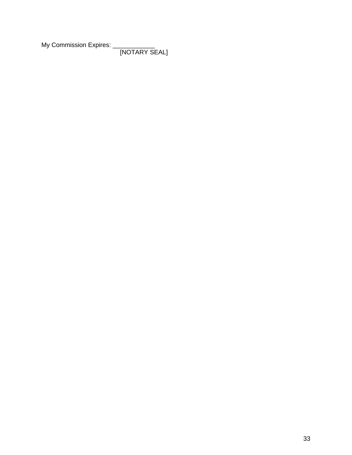My Commission Expires: \_

[NOTARY SEAL]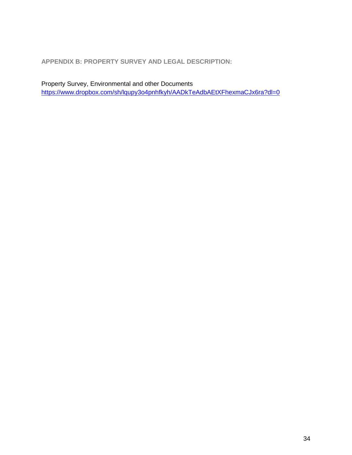<span id="page-33-0"></span>**APPENDIX B: PROPERTY SURVEY AND LEGAL DESCRIPTION:**

Property Survey, Environmental and other Documents <https://www.dropbox.com/sh/lqupy3o4pnhfkyh/AADkTeAdbAEtXFhexmaCJx6ra?dl=0>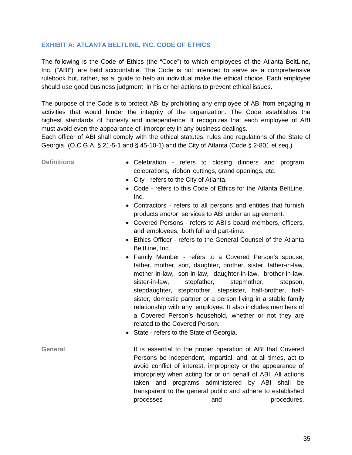### <span id="page-34-0"></span>**EXHIBIT A: ATLANTA BELTLINE, INC. CODE OF ETHICS**

The following is the Code of Ethics (the "Code") to which employees of the Atlanta BeltLine, Inc. ("ABI") are held accountable. The Code is not intended to serve as a comprehensive rulebook but, rather, as a guide to help an individual make the ethical choice. Each employee should use good business judgment in his or her actions to prevent ethical issues.

The purpose of the Code is to protect ABI by prohibiting any employee of ABI from engaging in activities that would hinder the integrity of the organization. The Code establishes the highest standards of honesty and independence. It recognizes that each employee of ABI must avoid even the appearance of impropriety in any business dealings.

Each officer of ABI shall comply with the ethical statutes, rules and regulations of the State of Georgia (O.C.G.A. § 21-5-1 and § 45-10-1) and the City of Atlanta (Code § 2-801 et seq.)

- **Definitions** Celebration refers to closing dinners and program celebrations, ribbon cuttings, grand openings, etc.
	- City refers to the City of Atlanta.
	- Code refers to this Code of Ethics for the Atlanta BeltLine, Inc.
	- Contractors refers to all persons and entities that furnish products and/or services to ABI under an agreement.
	- Covered Persons refers to ABI's board members, officers, and employees, both full and part-time.
	- Ethics Officer refers to the General Counsel of the Atlanta BeltLine, Inc.
	- Family Member refers to a Covered Person's spouse, father, mother, son, daughter, brother, sister, father-in-law, mother-in-law, son-in-law, daughter-in-law, brother-in-law, sister-in-law, stepfather, stepmother, stepson, stepdaughter, stepbrother, stepsister, half-brother, halfsister, domestic partner or a person living in a stable family relationship with any employee. It also includes members of a Covered Person's household, whether or not they are related to the Covered Person.
	- State refers to the State of Georgia.
- General **It is essential to the proper operation of ABI that Covered** Persons be independent, impartial, and, at all times, act to avoid conflict of interest, impropriety or the appearance of impropriety when acting for or on behalf of ABI. All actions taken and programs administered by ABI shall be transparent to the general public and adhere to established processes and procedures.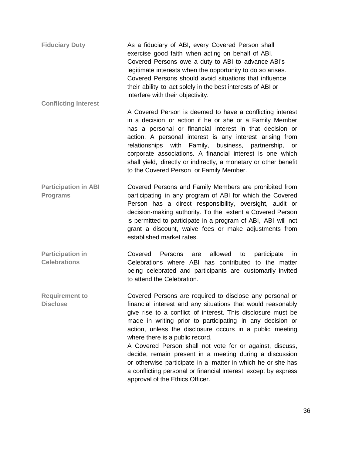| <b>Fiduciary Duty</b> | As a fiduciary of ABI, every Covered Person shall<br>exercise good faith when acting on behalf of ABI. |
|-----------------------|--------------------------------------------------------------------------------------------------------|
|                       |                                                                                                        |
|                       | Covered Persons owe a duty to ABI to advance ABI's                                                     |
|                       | legitimate interests when the opportunity to do so arises.                                             |
|                       | Covered Persons should avoid situations that influence                                                 |
|                       | their ability to act solely in the best interests of ABI or                                            |
|                       | interfere with their objectivity.                                                                      |

**Conflicting Interest**

- A Covered Person is deemed to have a conflicting interest in a decision or action if he or she or a Family Member has a personal or financial interest in that decision or action. A personal interest is any interest arising from relationships with Family, business, partnership, or corporate associations. A financial interest is one which shall yield, directly or indirectly, a monetary or other benefit to the Covered Person or Family Member.
- **Participation in ABI Programs** Covered Persons and Family Members are prohibited from participating in any program of ABI for which the Covered Person has a direct responsibility, oversight, audit or decision-making authority. To the extent a Covered Person is permitted to participate in a program of ABI, ABI will not grant a discount, waive fees or make adjustments from established market rates.
- **Participation in Celebrations** Covered Persons are allowed to participate in Celebrations where ABI has contributed to the matter being celebrated and participants are customarily invited to attend the Celebration.

**Requirement to Disclose** Covered Persons are required to disclose any personal or financial interest and any situations that would reasonably give rise to a conflict of interest. This disclosure must be made in writing prior to participating in any decision or action, unless the disclosure occurs in a public meeting where there is a public record.

A Covered Person shall not vote for or against, discuss, decide, remain present in a meeting during a discussion or otherwise participate in a matter in which he or she has a conflicting personal or financial interest except by express approval of the Ethics Officer.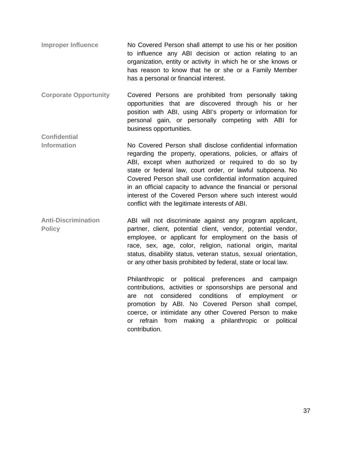- **Improper Influence** No Covered Person shall attempt to use his or her position to influence any ABI decision or action relating to an organization, entity or activity in which he or she knows or has reason to know that he or she or a Family Member has a personal or financial interest.
- **Corporate Opportunity**  Covered Persons are prohibited from personally taking opportunities that are discovered through his or her position with ABI, using ABI's property or information for personal gain, or personally competing with ABI for business opportunities.

**Confidential** 

- **Information** No Covered Person shall disclose confidential information regarding the property, operations, policies, or affairs of ABI, except when authorized or required to do so by state or federal law, court order, or lawful subpoena. No Covered Person shall use confidential information acquired in an official capacity to advance the financial or personal interest of the Covered Person where such interest would conflict with the legitimate interests of ABI.
- **Anti-Discrimination Policy** ABI will not discriminate against any program applicant, partner, client, potential client, vendor, potential vendor, employee, or applicant for employment on the basis of race, sex, age, color, religion, national origin, marital status, disability status, veteran status, sexual orientation, or any other basis prohibited by federal, state or local law.

Philanthropic or political preferences and campaign contributions, activities or sponsorships are personal and are not considered conditions of employment or promotion by ABI. No Covered Person shall compel, coerce, or intimidate any other Covered Person to make or refrain from making a philanthropic or political contribution.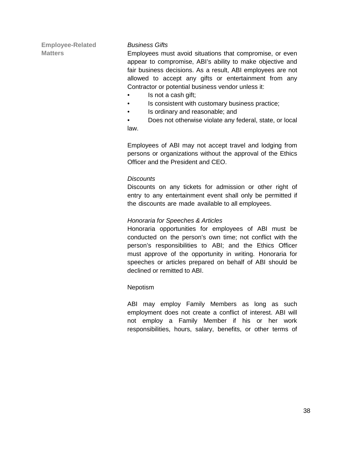**Employee-Related Matters**

### *Business Gifts*

Employees must avoid situations that compromise, or even appear to compromise, ABI's ability to make objective and fair business decisions. As a result, ABI employees are not allowed to accept any gifts or entertainment from any Contractor or potential business vendor unless it:

- Is not a cash gift;
- Is consistent with customary business practice;
- Is ordinary and reasonable; and
- Does not otherwise violate any federal, state, or local law.

Employees of ABI may not accept travel and lodging from persons or organizations without the approval of the Ethics Officer and the President and CEO.

### *Discounts*

Discounts on any tickets for admission or other right of entry to any entertainment event shall only be permitted if the discounts are made available to all employees.

### *Honoraria for Speeches & Articles*

Honoraria opportunities for employees of ABI must be conducted on the person's own time; not conflict with the person's responsibilities to ABI; and the Ethics Officer must approve of the opportunity in writing. Honoraria for speeches or articles prepared on behalf of ABI should be declined or remitted to ABI.

### Nepotism

ABI may employ Family Members as long as such employment does not create a conflict of interest. ABI will not employ a Family Member if his or her work responsibilities, hours, salary, benefits, or other terms of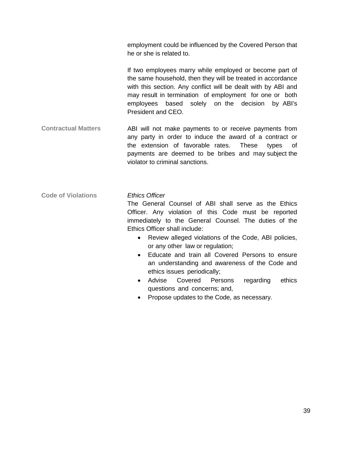employment could be influenced by the Covered Person that he or she is related to.

If two employees marry while employed or become part of the same household, then they will be treated in accordance with this section. Any conflict will be dealt with by ABI and may result in termination of employment for one or both employees based solely on the decision by ABI's President and CEO.

**Contractual Matters** ABI will not make payments to or receive payments from any party in order to induce the award of a contract or the extension of favorable rates. These types of payments are deemed to be bribes and may subject the violator to criminal sanctions.

**Code of Violations** *Ethics Officer*

The General Counsel of ABI shall serve as the Ethics Officer. Any violation of this Code must be reported immediately to the General Counsel. The duties of the Ethics Officer shall include:

- Review alleged violations of the Code, ABI policies, or any other law or regulation;
- Educate and train all Covered Persons to ensure an understanding and awareness of the Code and ethics issues periodically;
- Advise Covered Persons regarding ethics questions and concerns; and,
- Propose updates to the Code, as necessary.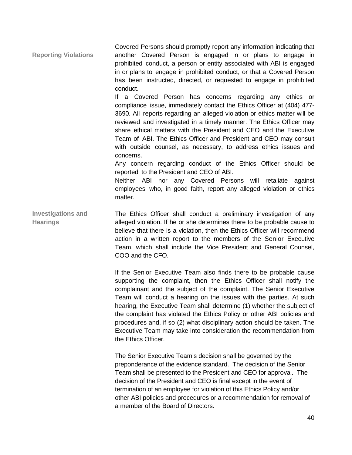**Reporting Violations** Covered Persons should promptly report any information indicating that another Covered Person is engaged in or plans to engage in prohibited conduct, a person or entity associated with ABI is engaged in or plans to engage in prohibited conduct, or that a Covered Person has been instructed, directed, or requested to engage in prohibited conduct.

> If a Covered Person has concerns regarding any ethics or compliance issue, immediately contact the Ethics Officer at (404) 477- 3690. All reports regarding an alleged violation or ethics matter will be reviewed and investigated in a timely manner. The Ethics Officer may share ethical matters with the President and CEO and the Executive Team of ABI. The Ethics Officer and President and CEO may consult with outside counsel, as necessary, to address ethics issues and concerns.

> Any concern regarding conduct of the Ethics Officer should be reported to the President and CEO of ABI.

> Neither ABI nor any Covered Persons will retaliate against employees who, in good faith, report any alleged violation or ethics matter.

**Investigations and Hearings** The Ethics Officer shall conduct a preliminary investigation of any alleged violation. If he or she determines there to be probable cause to believe that there is a violation, then the Ethics Officer will recommend action in a written report to the members of the Senior Executive Team, which shall include the Vice President and General Counsel, COO and the CFO.

> If the Senior Executive Team also finds there to be probable cause supporting the complaint, then the Ethics Officer shall notify the complainant and the subject of the complaint. The Senior Executive Team will conduct a hearing on the issues with the parties. At such hearing, the Executive Team shall determine (1) whether the subject of the complaint has violated the Ethics Policy or other ABI policies and procedures and, if so (2) what disciplinary action should be taken. The Executive Team may take into consideration the recommendation from the Ethics Officer.

The Senior Executive Team's decision shall be governed by the preponderance of the evidence standard. The decision of the Senior Team shall be presented to the President and CEO for approval. The decision of the President and CEO is final except in the event of termination of an employee for violation of this Ethics Policy and/or other ABI policies and procedures or a recommendation for removal of a member of the Board of Directors.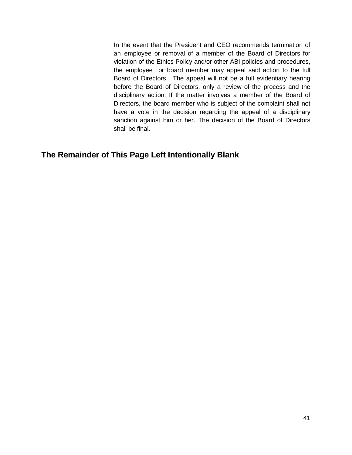In the event that the President and CEO recommends termination of an employee or removal of a member of the Board of Directors for violation of the Ethics Policy and/or other ABI policies and procedures, the employee or board member may appeal said action to the full Board of Directors. The appeal will not be a full evidentiary hearing before the Board of Directors, only a review of the process and the disciplinary action. If the matter involves a member of the Board of Directors, the board member who is subject of the complaint shall not have a vote in the decision regarding the appeal of a disciplinary sanction against him or her. The decision of the Board of Directors shall be final.

### **The Remainder of This Page Left Intentionally Blank**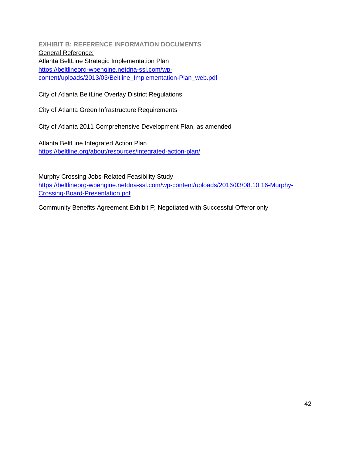<span id="page-41-0"></span>**EXHIBIT B: REFERENCE INFORMATION DOCUMENTS** General Reference: Atlanta BeltLine Strategic Implementation Plan [https://beltlineorg-wpengine.netdna-ssl.com/wp](https://beltlineorg-wpengine.netdna-ssl.com/wp-content/uploads/2013/03/Beltline_Implementation-Plan_web.pdf)[content/uploads/2013/03/Beltline\\_Implementation-Plan\\_web.pdf](https://beltlineorg-wpengine.netdna-ssl.com/wp-content/uploads/2013/03/Beltline_Implementation-Plan_web.pdf)

City of Atlanta BeltLine Overlay District Regulations

City of Atlanta Green Infrastructure Requirements

City of Atlanta 2011 Comprehensive Development Plan, as amended

Atlanta BeltLine Integrated Action Plan <https://beltline.org/about/resources/integrated-action-plan/>

Murphy Crossing Jobs-Related Feasibility Study [https://beltlineorg-wpengine.netdna-ssl.com/wp-content/uploads/2016/03/08.10.16-Murphy-](https://beltlineorg-wpengine.netdna-ssl.com/wp-content/uploads/2016/03/08.10.16-Murphy-Crossing-Board-Presentation.pdf)[Crossing-Board-Presentation.pdf](https://beltlineorg-wpengine.netdna-ssl.com/wp-content/uploads/2016/03/08.10.16-Murphy-Crossing-Board-Presentation.pdf)

Community Benefits Agreement Exhibit F; Negotiated with Successful Offeror only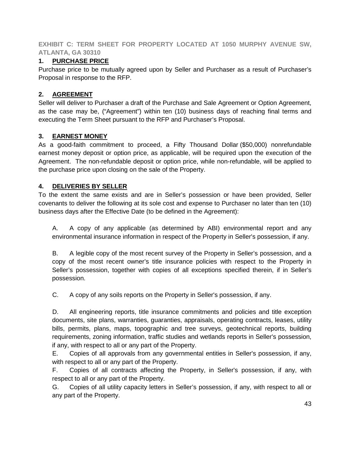<span id="page-42-0"></span>**EXHIBIT C: TERM SHEET FOR PROPERTY LOCATED AT 1050 MURPHY AVENUE SW, ATLANTA, GA 30310**

### **1. PURCHASE PRICE**

Purchase price to be mutually agreed upon by Seller and Purchaser as a result of Purchaser's Proposal in response to the RFP.

### **2. AGREEMENT**

Seller will deliver to Purchaser a draft of the Purchase and Sale Agreement or Option Agreement, as the case may be, ("Agreement") within ten (10) business days of reaching final terms and executing the Term Sheet pursuant to the RFP and Purchaser's Proposal.

### **3. EARNEST MONEY**

As a good-faith commitment to proceed, a Fifty Thousand Dollar (\$50,000) nonrefundable earnest money deposit or option price, as applicable, will be required upon the execution of the Agreement. The non-refundable deposit or option price, while non-refundable, will be applied to the purchase price upon closing on the sale of the Property.

### **4. DELIVERIES BY SELLER**

To the extent the same exists and are in Seller's possession or have been provided, Seller covenants to deliver the following at its sole cost and expense to Purchaser no later than ten (10) business days after the Effective Date (to be defined in the Agreement):

A. A copy of any applicable (as determined by ABI) environmental report and any environmental insurance information in respect of the Property in Seller's possession, if any.

B. A legible copy of the most recent survey of the Property in Seller's possession, and a copy of the most recent owner's title insurance policies with respect to the Property in Seller's possession, together with copies of all exceptions specified therein, if in Seller's possession.

C. A copy of any soils reports on the Property in Seller's possession, if any.

D. All engineering reports, title insurance commitments and policies and title exception documents, site plans, warranties, guaranties, appraisals, operating contracts, leases, utility bills, permits, plans, maps, topographic and tree surveys, geotechnical reports, building requirements, zoning information, traffic studies and wetlands reports in Seller's possession, if any, with respect to all or any part of the Property.

E. Copies of all approvals from any governmental entities in Seller's possession, if any, with respect to all or any part of the Property.

F. Copies of all contracts affecting the Property, in Seller's possession, if any, with respect to all or any part of the Property.

G. Copies of all utility capacity letters in Seller's possession, if any, with respect to all or any part of the Property.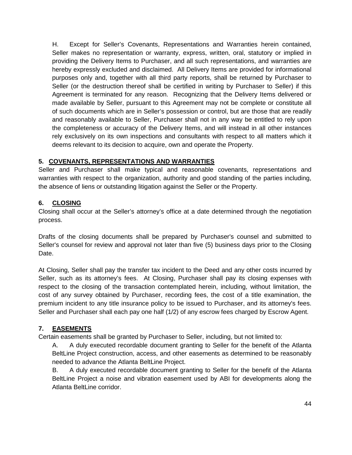H. Except for Seller's Covenants, Representations and Warranties herein contained, Seller makes no representation or warranty, express, written, oral, statutory or implied in providing the Delivery Items to Purchaser, and all such representations, and warranties are hereby expressly excluded and disclaimed. All Delivery Items are provided for informational purposes only and, together with all third party reports, shall be returned by Purchaser to Seller (or the destruction thereof shall be certified in writing by Purchaser to Seller) if this Agreement is terminated for any reason. Recognizing that the Delivery Items delivered or made available by Seller, pursuant to this Agreement may not be complete or constitute all of such documents which are in Seller's possession or control, but are those that are readily and reasonably available to Seller, Purchaser shall not in any way be entitled to rely upon the completeness or accuracy of the Delivery Items, and will instead in all other instances rely exclusively on its own inspections and consultants with respect to all matters which it deems relevant to its decision to acquire, own and operate the Property.

### **5. COVENANTS, REPRESENTATIONS AND WARRANTIES**

Seller and Purchaser shall make typical and reasonable covenants, representations and warranties with respect to the organization, authority and good standing of the parties including, the absence of liens or outstanding litigation against the Seller or the Property.

### **6. CLOSING**

Closing shall occur at the Seller's attorney's office at a date determined through the negotiation process.

Drafts of the closing documents shall be prepared by Purchaser's counsel and submitted to Seller's counsel for review and approval not later than five (5) business days prior to the Closing Date.

At Closing, Seller shall pay the transfer tax incident to the Deed and any other costs incurred by Seller, such as its attorney's fees. At Closing, Purchaser shall pay its closing expenses with respect to the closing of the transaction contemplated herein, including, without limitation, the cost of any survey obtained by Purchaser, recording fees, the cost of a title examination, the premium incident to any title insurance policy to be issued to Purchaser, and its attorney's fees. Seller and Purchaser shall each pay one half (1/2) of any escrow fees charged by Escrow Agent.

### **7. EASEMENTS**

Certain easements shall be granted by Purchaser to Seller, including, but not limited to:

A. A duly executed recordable document granting to Seller for the benefit of the Atlanta BeltLine Project construction, access, and other easements as determined to be reasonably needed to advance the Atlanta BeltLine Project.

B. A duly executed recordable document granting to Seller for the benefit of the Atlanta BeltLine Project a noise and vibration easement used by ABI for developments along the Atlanta BeltLine corridor.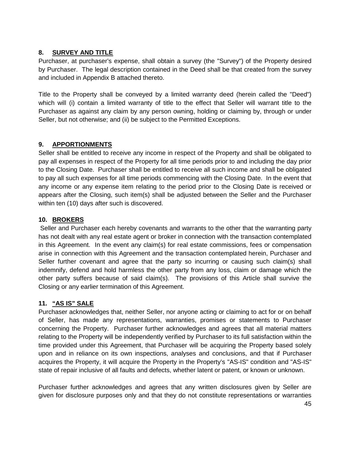### **8. SURVEY AND TITLE**

Purchaser, at purchaser's expense, shall obtain a survey (the "Survey") of the Property desired by Purchaser. The legal description contained in the Deed shall be that created from the survey and included in Appendix B attached thereto.

Title to the Property shall be conveyed by a limited warranty deed (herein called the "Deed") which will (i) contain a limited warranty of title to the effect that Seller will warrant title to the Purchaser as against any claim by any person owning, holding or claiming by, through or under Seller, but not otherwise; and (ii) be subject to the Permitted Exceptions.

### **9. APPORTIONMENTS**

Seller shall be entitled to receive any income in respect of the Property and shall be obligated to pay all expenses in respect of the Property for all time periods prior to and including the day prior to the Closing Date. Purchaser shall be entitled to receive all such income and shall be obligated to pay all such expenses for all time periods commencing with the Closing Date. In the event that any income or any expense item relating to the period prior to the Closing Date is received or appears after the Closing, such item(s) shall be adjusted between the Seller and the Purchaser within ten (10) days after such is discovered.

### **10. BROKERS**

Seller and Purchaser each hereby covenants and warrants to the other that the warranting party has not dealt with any real estate agent or broker in connection with the transaction contemplated in this Agreement. In the event any claim(s) for real estate commissions, fees or compensation arise in connection with this Agreement and the transaction contemplated herein, Purchaser and Seller further covenant and agree that the party so incurring or causing such claim(s) shall indemnify, defend and hold harmless the other party from any loss, claim or damage which the other party suffers because of said claim(s). The provisions of this Article shall survive the Closing or any earlier termination of this Agreement.

### **11. "AS IS" SALE**

Purchaser acknowledges that, neither Seller, nor anyone acting or claiming to act for or on behalf of Seller, has made any representations, warranties, promises or statements to Purchaser concerning the Property. Purchaser further acknowledges and agrees that all material matters relating to the Property will be independently verified by Purchaser to its full satisfaction within the time provided under this Agreement, that Purchaser will be acquiring the Property based solely upon and in reliance on its own inspections, analyses and conclusions, and that if Purchaser acquires the Property, it will acquire the Property in the Property's "AS-IS" condition and "AS-IS" state of repair inclusive of all faults and defects, whether latent or patent, or known or unknown.

Purchaser further acknowledges and agrees that any written disclosures given by Seller are given for disclosure purposes only and that they do not constitute representations or warranties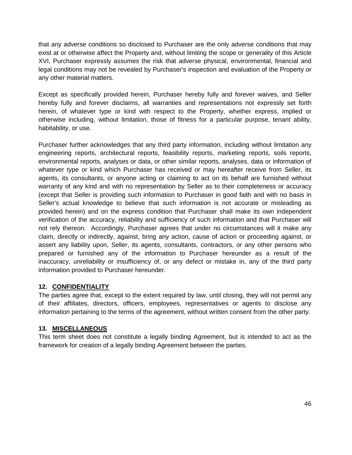that any adverse conditions so disclosed to Purchaser are the only adverse conditions that may exist at or otherwise affect the Property and, without limiting the scope or generality of this Article XVI, Purchaser expressly assumes the risk that adverse physical, environmental, financial and legal conditions may not be revealed by Purchaser's inspection and evaluation of the Property or any other material matters.

Except as specifically provided herein, Purchaser hereby fully and forever waives, and Seller hereby fully and forever disclaims, all warranties and representations not expressly set forth herein, of whatever type or kind with respect to the Property, whether express, implied or otherwise including, without limitation, those of fitness for a particular purpose, tenant ability, habitability, or use.

Purchaser further acknowledges that any third party information, including without limitation any engineering reports, architectural reports, feasibility reports, marketing reports, soils reports, environmental reports, analyses or data, or other similar reports, analyses, data or information of whatever type or kind which Purchaser has received or may hereafter receive from Seller, its agents, its consultants, or anyone acting or claiming to act on its behalf are furnished without warranty of any kind and with no representation by Seller as to their completeness or accuracy (except that Seller is providing such information to Purchaser in good faith and with no basis in Seller's actual knowledge to believe that such information is not accurate or misleading as provided herein) and on the express condition that Purchaser shall make its own independent verification of the accuracy, reliability and sufficiency of such information and that Purchaser will not rely thereon. Accordingly, Purchaser agrees that under no circumstances will it make any claim, directly or indirectly, against, bring any action, cause of action or proceeding against, or assert any liability upon, Seller, its agents, consultants, contractors, or any other persons who prepared or furnished any of the information to Purchaser hereunder as a result of the inaccuracy, unreliability or insufficiency of, or any defect or mistake in, any of the third party information provided to Purchaser hereunder.

### **12. CONFIDENTIALITY**

The parties agree that, except to the extent required by law, until closing, they will not permit any of their affiliates, directors, officers, employees, representatives or agents to disclose any information pertaining to the terms of the agreement, without written consent from the other party.

### **13. MISCELLANEOUS**

This term sheet does not constitute a legally binding Agreement, but is intended to act as the framework for creation of a legally binding Agreement between the parties.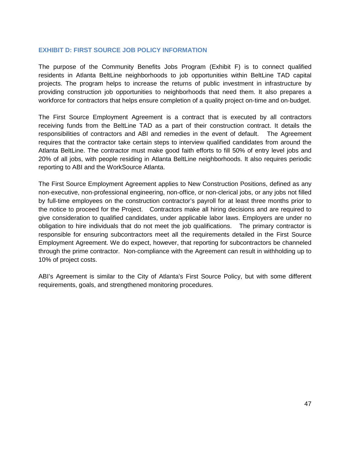### <span id="page-46-0"></span>**EXHIBIT D: FIRST SOURCE JOB POLICY INFORMATION**

The purpose of the Community Benefits Jobs Program (Exhibit F) is to connect qualified residents in Atlanta BeltLine neighborhoods to job opportunities within BeltLine TAD capital projects. The program helps to increase the returns of public investment in infrastructure by providing construction job opportunities to neighborhoods that need them. It also prepares a workforce for contractors that helps ensure completion of a quality project on-time and on-budget.

The First Source Employment Agreement is a contract that is executed by all contractors receiving funds from the BeltLine TAD as a part of their construction contract. It details the responsibilities of contractors and ABI and remedies in the event of default. The Agreement requires that the contractor take certain steps to interview qualified candidates from around the Atlanta BeltLine. The contractor must make good faith efforts to fill 50% of entry level jobs and 20% of all jobs, with people residing in Atlanta BeltLine neighborhoods. It also requires periodic reporting to ABI and the WorkSource Atlanta.

The First Source Employment Agreement applies to New Construction Positions, defined as any non‐executive, non‐professional engineering, non‐office, or non‐clerical jobs, or any jobs not filled by full-time employees on the construction contractor's payroll for at least three months prior to the notice to proceed for the Project. Contractors make all hiring decisions and are required to give consideration to qualified candidates, under applicable labor laws. Employers are under no obligation to hire individuals that do not meet the job qualifications. The primary contractor is responsible for ensuring subcontractors meet all the requirements detailed in the First Source Employment Agreement. We do expect, however, that reporting for subcontractors be channeled through the prime contractor. Non‐compliance with the Agreement can result in withholding up to 10% of project costs.

ABI's Agreement is similar to the City of Atlanta's First Source Policy, but with some different requirements, goals, and strengthened monitoring procedures.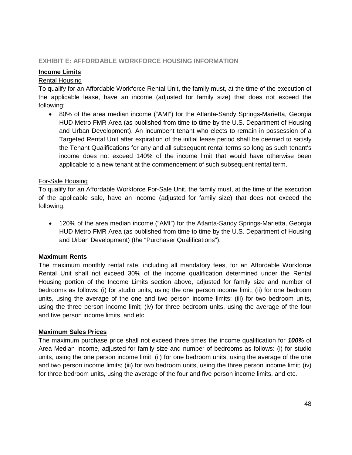### <span id="page-47-0"></span>**EXHIBIT E: AFFORDABLE WORKFORCE HOUSING INFORMATION**

### **Income Limits**

### Rental Housing

To qualify for an Affordable Workforce Rental Unit, the family must, at the time of the execution of the applicable lease, have an income (adjusted for family size) that does not exceed the following:

• 80% of the area median income ("AMI") for the Atlanta-Sandy Springs-Marietta, Georgia HUD Metro FMR Area (as published from time to time by the U.S. Department of Housing and Urban Development). An incumbent tenant who elects to remain in possession of a Targeted Rental Unit after expiration of the initial lease period shall be deemed to satisfy the Tenant Qualifications for any and all subsequent rental terms so long as such tenant's income does not exceed 140% of the income limit that would have otherwise been applicable to a new tenant at the commencement of such subsequent rental term.

### For-Sale Housing

To qualify for an Affordable Workforce For-Sale Unit, the family must, at the time of the execution of the applicable sale, have an income (adjusted for family size) that does not exceed the following:

• 120% of the area median income ("AMI") for the Atlanta-Sandy Springs-Marietta, Georgia HUD Metro FMR Area (as published from time to time by the U.S. Department of Housing and Urban Development) (the "Purchaser Qualifications").

### **Maximum Rents**

The maximum monthly rental rate, including all mandatory fees, for an Affordable Workforce Rental Unit shall not exceed 30% of the income qualification determined under the Rental Housing portion of the Income Limits section above, adjusted for family size and number of bedrooms as follows: (i) for studio units, using the one person income limit; (ii) for one bedroom units, using the average of the one and two person income limits; (iii) for two bedroom units, using the three person income limit; (iv) for three bedroom units, using the average of the four and five person income limits, and etc.

### **Maximum Sales Prices**

The maximum purchase price shall not exceed three times the income qualification for *100%* of Area Median Income, adjusted for family size and number of bedrooms as follows: (i) for studio units, using the one person income limit; (ii) for one bedroom units, using the average of the one and two person income limits; (iii) for two bedroom units, using the three person income limit; (iv) for three bedroom units, using the average of the four and five person income limits, and etc.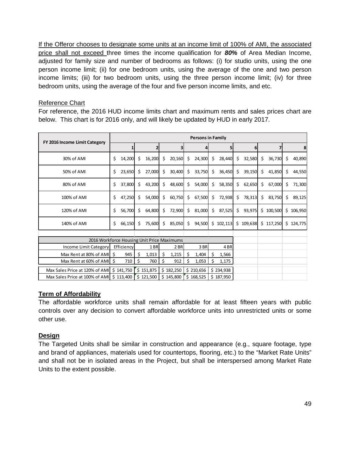If the Offeror chooses to designate some units at an income limit of 100% of AMI, the associated price shall not exceed three times the income qualification for *80%* of Area Median Income, adjusted for family size and number of bedrooms as follows: (i) for studio units, using the one person income limit; (ii) for one bedroom units, using the average of the one and two person income limits; (iii) for two bedroom units, using the three person income limit; (iv) for three bedroom units, using the average of the four and five person income limits, and etc.

### Reference Chart

For reference, the 2016 HUD income limits chart and maximum rents and sales prices chart are below. This chart is for 2016 only, and will likely be updated by HUD in early 2017.

| FY 2016 Income Limit Category              |    | <b>Persons in Family</b> |    |           |     |           |    |             |                     |                 |     |           |               |           |    |         |
|--------------------------------------------|----|--------------------------|----|-----------|-----|-----------|----|-------------|---------------------|-----------------|-----|-----------|---------------|-----------|----|---------|
|                                            |    |                          |    |           |     |           |    |             |                     | 5               |     | 6         |               |           |    | 8       |
| 30% of AMI                                 | Ś. | 14,200                   | \$ | 16,200    | S   | 20,160    | S. | 24,300      | \$                  | 28,440          | \$  | 32,580    | \$            | 36,730    | \$ | 40,890  |
| 50% of AMI                                 | Ś. | 23,650                   | Ś. | 27,000    | Ś.  | 30,400    | \$ | 33,750      | $\ddot{\mathsf{s}}$ | 36,450          | \$  | 39,150    | \$            | 41,850    | Ś. | 44,550  |
| 80% of AMI                                 | Ś. | 37,800                   | Ŝ. | 43,200    | Ŝ.  | 48,600    | Ŝ. | 54,000      | Ŝ.                  | 58,350          | \$  | 62,650    | \$            | 67,000    | Ŝ  | 71,300  |
| 100% of AMI                                | Ś. | 47,250                   | Ŝ. | 54,000    | Ś.  | 60,750    | S. | 67,500      | $\ddot{\varsigma}$  | 72,938          | \$. | 78,313    | $\frac{1}{2}$ | 83,750    | Ś. | 89,125  |
| 120% of AMI                                | Ś. | 56,700                   | \$ | 64,800    | \$  | 72,900    | \$ | $81,000$ \$ |                     | 87,525          | \$  | 93,975    |               | \$100,500 | Ŝ. | 106,950 |
| 140% of AMI                                | Ś. | 66,150                   | Ŝ. | 75,600    | \$  | 85,050    | Ś. | 94,500      |                     | \$102,113       |     | \$109,638 |               | \$117,250 | S. | 124,775 |
|                                            |    |                          |    |           |     |           |    |             |                     |                 |     |           |               |           |    |         |
| 2016 Workforce Housing Unit Price Maximums |    |                          |    |           |     |           |    |             |                     |                 |     |           |               |           |    |         |
| Income Limit Category                      |    | Efficiency               |    | 1BR       |     | 2 BR      |    | 3 BR        |                     | 4 <sub>BR</sub> |     |           |               |           |    |         |
| Max Rent at 80% of AMI S                   |    | 945                      | \$ | 1,013     | \$. | 1,215     |    | 1,404       |                     | 1,566           |     |           |               |           |    |         |
| Max Rent at 60% of AMI   \$                |    | 710                      | Ś  | 760       | Ś   | 912       |    | 1,053       | Ś                   | 1,175           |     |           |               |           |    |         |
| Max Sales Price at 120% of AMI   \$141,750 |    |                          |    | \$151,875 |     | \$182,250 |    | \$210,656   |                     | \$234,938       |     |           |               |           |    |         |
| Max Sales Price at 100% of AMI   \$113,400 |    |                          |    | \$121,500 |     | \$145,800 |    | \$168,525   |                     | \$187,950       |     |           |               |           |    |         |

### **Term of Affordability**

The affordable workforce units shall remain affordable for at least fifteen years with public controls over any decision to convert affordable workforce units into unrestricted units or some other use.

### **Design**

The Targeted Units shall be similar in construction and appearance (e.g., square footage, type and brand of appliances, materials used for countertops, flooring, etc.) to the "Market Rate Units" and shall not be in isolated areas in the Project, but shall be interspersed among Market Rate Units to the extent possible.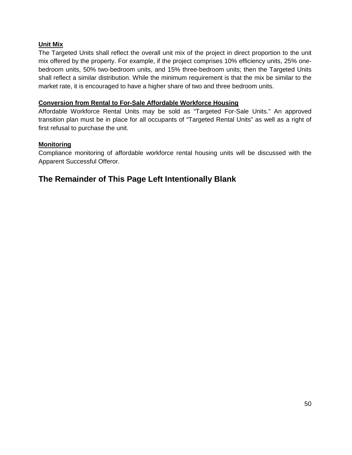### **Unit Mix**

The Targeted Units shall reflect the overall unit mix of the project in direct proportion to the unit mix offered by the property. For example, if the project comprises 10% efficiency units, 25% onebedroom units, 50% two-bedroom units, and 15% three-bedroom units; then the Targeted Units shall reflect a similar distribution. While the minimum requirement is that the mix be similar to the market rate, it is encouraged to have a higher share of two and three bedroom units.

### **Conversion from Rental to For-Sale Affordable Workforce Housing**

Affordable Workforce Rental Units may be sold as "Targeted For-Sale Units." An approved transition plan must be in place for all occupants of "Targeted Rental Units" as well as a right of first refusal to purchase the unit.

### **Monitoring**

Compliance monitoring of affordable workforce rental housing units will be discussed with the Apparent Successful Offeror.

### **The Remainder of This Page Left Intentionally Blank**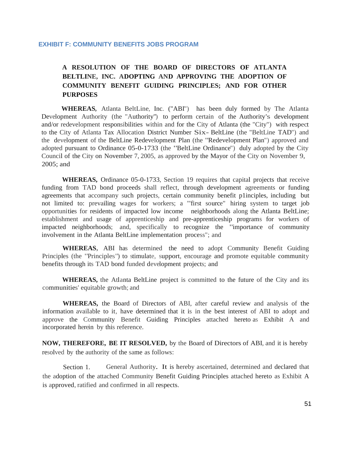#### <span id="page-50-0"></span>**EXHIBIT F: COMMUNITY BENEFITS JOBS PROGRAM**

### **A RESOLUTION OF THE BOARD OF DIRECTORS OF ATLANTA BELTLINE, INC. ADOPTING AND APPROVING THE ADOPTION OF COMMUNITY BENEFIT GUIDING PRINCIPLES; AND FOR OTHER PURPOSES**

**WHEREAS,** Atlanta BeltLine, Inc. ("ABI") has been duly formed by The Atlanta Development Authority (the "Authority") to perform certain of the Authority's development and/or redevelopment responsibilities within and for the City of Atlanta (the "City") with respect to the City of Atlanta Tax Allocation District Number Six- BeltLine (the "BeltLine TAD") and the development of the BeltLine Redevelopment Plan (the "Redevelopment Plan") approved and adopted pursuant to Ordinance 05-0-1733 (the "BeltLine Ordinance") duly adopted by the City Council of the City on November 7, 2005, as approved by the Mayor of the City on November 9, 2005; and

**WHEREAS,** Ordinance 05-0-1733, Section 19 requires that capital projects that receive funding from TAD bond proceeds shall reflect, through development agreements or funding agreements that accompany such projects, certain community benefit p1inciples, including but not limited to: prevailing wages for workers; a "first source" hiring system to target job opportunities for residents of impacted low income neighborhoods along the Atlanta BeltLine; establishment and usage of apprenticeship and pre-apprenticeship programs for workers of impacted neighborhoods; and, specifically to recognize the "importance of community involvement in the Atlanta BeltLine implementation process"; and

**WHEREAS,** ABI has determined the need to adopt Community Benefit Guiding Principles (the "Principles") to stimulate, support, encourage and promote equitable community benefits through its TAD bond funded development projects; and

**WHEREAS,** the Atlanta BeltLine project is committed to the future of the City and its communities' equitable growth; and

**WHEREAS,** the Board of Directors of ABI, after careful review and analysis of the information available to it, have determined that it is in the best interest of ABI to adopt and approve the Community Benefit Guiding Principles attached hereto as Exhibit A and incorporated herein by this reference.

**NOW, THEREFORE, BE IT RESOLVED,** by the Board of Directors of ABI, and it is hereby resolved by the authority of the same as follows:

Section 1. General Authority. It is hereby ascertained, determined and declared that the adoption of the attached Community Benefit Guiding Principles attached hereto as Exhibit A is approved, ratified and confirmed in all respects.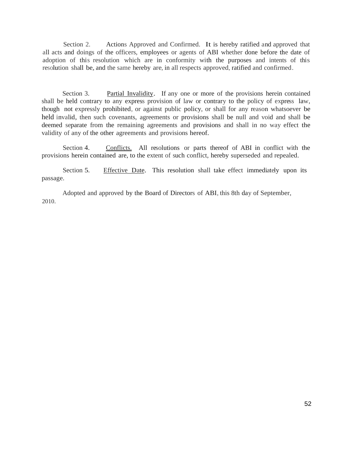Section 2. Actions Approved and Confirmed. It is hereby ratified and approved that all acts and doings of the officers, employees or agents of ABI whether done before the date of adoption of this resolution which are in conformity with the purposes and intents of this resolution shall be, and the same hereby are, in all respects approved, ratified and confirmed.

Section 3. Partial Invalidity. If any one or more of the provisions herein contained shall be held contrary to any express provision of law or contrary to the policy of express law, though not expressly prohibited, or against public policy, or shall for any reason whatsoever be held invalid, then such covenants, agreements or provisions shall be null and void and shall be deemed separate from the remaining agreements and provisions and shall in no way effect the validity of any of the other agreements and provisions hereof.

Section 4. Conflicts. All resolutions or parts thereof of ABI in conflict with the provisions herein contained are, to the extent of such conflict, hereby superseded and repealed.

Section 5. passage. Effective Date. This resolution shall take effect immediately upon its

2010. Adopted and approved by the Board of Directors of ABI, this 8th day of September,